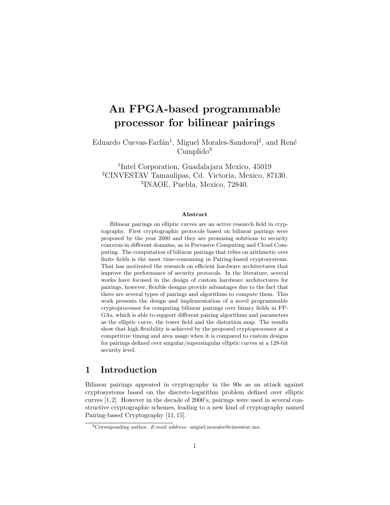# An FPGA-based programmable processor for bilinear pairings

Eduardo Cuevas-Farfán<sup>1</sup>, Miguel Morales-Sandoval<sup>2</sup>, and René  $Cumplido<sup>3</sup>$ 

1 Intel Corporation, Guadalajara Mexico, 45019 <sup>2</sup>CINVESTAV Tamaulipas, Cd. Victoria, Mexico, 87130. 3 INAOE, Puebla, Mexico, 72840.

#### Abstract

Bilinear pairings on elliptic curves are an active research field in cryptography. First cryptographic protocols based on bilinear pairings were proposed by the year 2000 and they are promising solutions to security concerns in different domains, as in Pervasive Computing and Cloud Computing. The computation of bilinear pairings that relies on arithmetic over finite fields is the most time-consuming in Pairing-based cryptosystems. That has motivated the research on efficient hardware architectures that improve the performance of security protocols. In the literature, several works have focused in the design of custom hardware architectures for pairings, however, flexible designs provide advantages due to the fact that there are several types of pairings and algorithms to compute them. This work presents the design and implementation of a novel programmable cryptoprocessor for computing bilinear pairings over binary fields in FP-GAs, which is able to support different pairing algorithms and parameters as the elliptic curve, the tower field and the distortion map. The results show that high flexibility is achieved by the proposed cryptoprocessor at a competitive timing and area usage when it is compared to custom designs for pairings defined over singular/supersingular elliptic curves at a 128-bit security level.

# 1 Introduction

Bilinear pairings appeared in cryptography in the 90s as an attack against cryptosystems based on the discrete-logarithm problem defined over elliptic curves [1,2]. However in the decade of 2000's, pairings were used in several constructive cryptographic schemes, leading to a new kind of cryptography named Pairing-based Cryptography [11, 15].

 $3$ Corresponding author. E-mail address: miguel.morales@cinvestav.mx.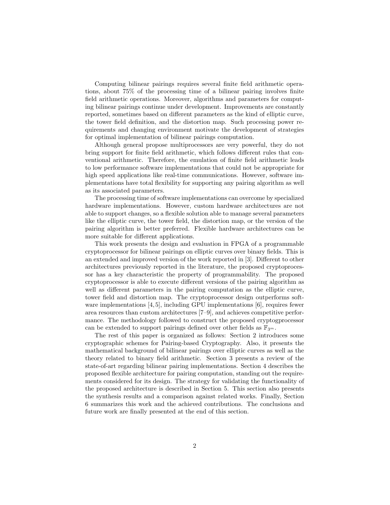Computing bilinear pairings requires several finite field arithmetic operations, about 75% of the processing time of a bilinear pairing involves finite field arithmetic operations. Moreover, algorithms and parameters for computing bilinear pairings continue under development. Improvements are constantly reported, sometimes based on different parameters as the kind of elliptic curve, the tower field definition, and the distortion map. Such processing power requirements and changing environment motivate the development of strategies for optimal implementation of bilinear pairings computation.

Although general propose multiprocessors are very powerful, they do not bring support for finite field arithmetic, which follows different rules that conventional arithmetic. Therefore, the emulation of finite field arithmetic leads to low performance software implementations that could not be appropriate for high speed applications like real-time communications. However, software implementations have total flexibility for supporting any pairing algorithm as well as its associated parameters.

The processing time of software implementations can overcome by specialized hardware implementations. However, custom hardware architectures are not able to support changes, so a flexible solution able to manage several parameters like the elliptic curve, the tower field, the distortion map, or the version of the pairing algorithm is better preferred. Flexible hardware architectures can be more suitable for different applications.

This work presents the design and evaluation in FPGA of a programmable cryptoprocessor for bilinear pairings on elliptic curves over binary fields. This is an extended and improved version of the work reported in [3]. Different to other architectures previously reported in the literature, the proposed cryptoprocessor has a key characteristic the property of programmability. The proposed cryptoprocessor is able to execute different versions of the pairing algorithm as well as different parameters in the pairing computation as the elliptic curve, tower field and distortion map. The cryptoprocessor design outperforms software implementations [4, 5], including GPU implementations [6], requires fewer area resources than custom architectures [7–9], and achieves competitive performance. The methodology followed to construct the proposed cryptogprocessor can be extended to support pairings defined over other fields as  $\mathbb{F}_{3^m}$ .

The rest of this paper is organized as follows: Section 2 introduces some cryptographic schemes for Pairing-based Cryptography. Also, it presents the mathematical background of bilinear pairings over elliptic curves as well as the theory related to binary field arithmetic. Section 3 presents a review of the state-of-art regarding bilinear pairing implementations. Section 4 describes the proposed flexible architecture for pairing computation, standing out the requirements considered for its design. The strategy for validating the functionality of the proposed architecture is described in Section 5. This section also presents the synthesis results and a comparison against related works. Finally, Section 6 summarizes this work and the achieved contributions. The conclusions and future work are finally presented at the end of this section.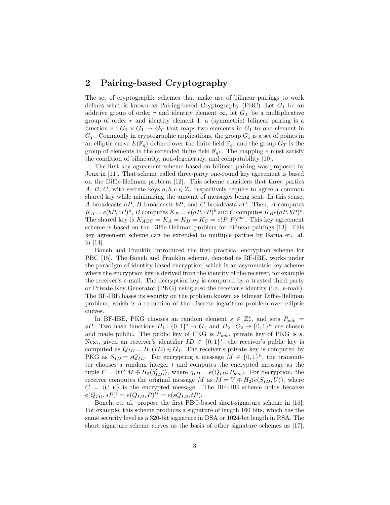# 2 Pairing-based Cryptography

The set of cryptographic schemes that make use of bilinear pairings to work defines what is known as Pairing-based Cryptography (PBC). Let  $G_1$  be an additive group of order r and identity element  $\infty$ , let  $G_T$  be a multiplicative group of order  $r$  and identity element 1, a (symmetric) bilinear pairing is a function  $e: G_1 \times G_1 \to G_T$  that maps two elements in  $G_1$  to one element in  $G_T$ . Commonly in cryptographic applications, the group  $G_1$  is a set of points in an elliptic curve  $E(\mathbb{F}_q)$  defined over the finite field  $\mathbb{F}_q$ , and the group  $G_T$  is the group of elements in the extended finite field  $\mathbb{F}_{q^k}$ . The mapping e must satisfy the condition of bilinearity, non-degeneracy, and computability [10].

The first key agreement scheme based on bilinear pairing was proposed by Joux in [11]. That scheme called three-party one-round key agreement is based on the Diffie-Hellman problem [12]. This scheme considers that three parties A, B, C, with secrete keys  $a, b, c \in \mathbb{Z}_r$  respectively require to agree a common shared key while minimizing the amount of messages being sent. In this sense, A broadcasts  $aP$ , B broadcasts  $bP$ , and C broadcasts  $cP$ . Then, A computes  $K_A = e(bP, cP)^a$ , B computes  $K_B = e(aP, cP)^b$  and C computes  $K_Be(aP, bP)^c$ . The shared key is  $K_{ABC} = K_A = K_B = K_C = e(P, P)^{abc}$ . This key agreement scheme is based on the Diffie-Hellman problem for bilinear pairings [13]. This key agreement scheme can be extended to multiple parties by Barua et. al. in [14].

Boneh and Franklin introduced the first practical encryption scheme for PBC [15]. The Boneh and Franklin scheme, denoted as BF-IBE, works under the paradigm of identity-based encryption, which is an asymmetric key scheme where the encryption key is derived from the identity of the receiver, for example the receiver's e-mail. The decryption key is computed by a trusted third party or Private Key Generator (PKG) using also the receiver's identity (i.e., e-mail). The BF-IBE bases its security on the problem known as bilinear Diffie-Hellman problem, which is a reduction of the discrete logarithm problem over elliptic curves.

In BF-IBE, PKG chooses an random element  $s \in \mathbb{Z}_r^*$ , and sets  $P_{pub}$  = sP. Two hash functions  $H_1: \{0,1\}^* \to G_1$  and  $H_2: G_2 \to \{0,1\}^n$  are chosen and made public. The public key of PKG is  $P_{pub}$ , private key of PKG is s. Next, given an receiver's identifier  $ID \in \{0,1\}^*$ , the receiver's public key is computed as  $Q_{ID} = H_1(ID) \in G_1$ . The receiver's private key is computed by PKG as  $S_{ID} = sQ_{ID}$ . For encrypting a message  $M \in \{0, 1\}^n$ , the transmitter chooses a random integer  $t$  and computes the encrypted message as the tuple  $C = \langle tP, M \oplus H_2(g_{ID}^t) \rangle$ , where  $g_{ID} = e(Q_{ID}, P_{pub})$ . For decryption, the receiver computes the original message M as  $M = V \oplus H_2(e(S_{ID}, U))$ , where  $C = \langle U, V \rangle$  is the encrypted message. The BF-IBE scheme holds because  $e(Q_{ID}, sP)^t = e(Q_{ID}, P)^{ts} = e(sQ_{ID}, tP).$ 

Boneh, et. al. propose the first PBC-based short-signature scheme in [16]. For example, this scheme produces a signature of length 160 bits, which has the same security level as a 320-bit signature in DSA or 1024-bit length in RSA. The short signature scheme serves as the basis of other signature schemes as [17],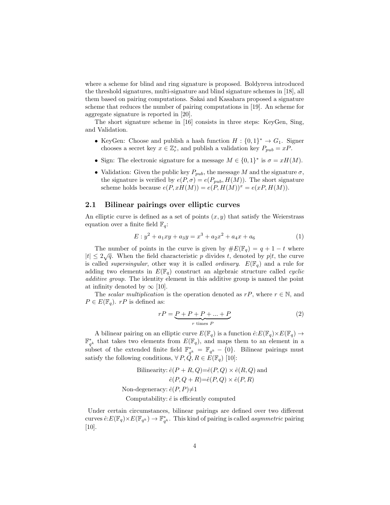where a scheme for blind and ring signature is proposed. Boldyreva introduced the threshold signatures, multi-signature and blind signature schemes in [18], all them based on pairing computations. Sakai and Kasahara proposed a signature scheme that reduces the number of pairing computations in [19]. An scheme for aggregate signature is reported in [20].

The short signature scheme in [16] consists in three steps: KeyGen, Sing, and Validation.

- KeyGen: Choose and publish a hash function  $H: \{0,1\}^* \to G_1$ . Signer chooses a secret key  $x \in \mathbb{Z}_r^*$ , and publish a validation key  $P_{pub} = xP$ .
- Sign: The electronic signature for a message  $M \in \{0,1\}^*$  is  $\sigma = xH(M)$ .
- Validation: Given the public key  $P_{pub}$ , the message M and the signature  $\sigma$ , the signature is verified by  $e(P, \sigma) = e(P_{pub}, H(M))$ . The short signature scheme holds because  $e(P, xH(M)) = e(P, H(M))^x = e(xP, H(M)).$

## 2.1 Bilinear pairings over elliptic curves

An elliptic curve is defined as a set of points  $(x, y)$  that satisfy the Weierstrass equation over a finite field  $\mathbb{F}_q$ :

$$
E: y^2 + a_1xy + a_3y = x^3 + a_2x^2 + a_4x + a_6 \tag{1}
$$

The number of points in the curve is given by  $\#E(\mathbb{F}_q) = q + 1 - t$  where  $|t| \leq 2\sqrt{q}$ . When the field characteristic p divides t, denoted by p|t, the curve is called *supersingular*, other way it is called *ordinary.*  $E(\mathbb{F}_q)$  and a rule for adding two elements in  $E(\mathbb{F}_q)$  construct an algebraic structure called *cyclic* dularative group. The identity element in this additive group is named the point at infinity denoted by  $\infty$  [10].

The scalar multiplication is the operation denoted as  $rP$ , where  $r \in \mathbb{N}$ , and  $P \in E(\mathbb{F}_q)$ . rP is defined as:

$$
rP = \underbrace{P + P + P + \dots + P}_{r \text{ times } P} \tag{2}
$$

A bilinear pairing on an elliptic curve  $E(\mathbb{F}_q)$  is a function  $\hat{e}:E(\mathbb{F}_q)\times E(\mathbb{F}_q) \to$  $\mathbb{F}_{q^k}^*$  that takes two elements from  $E(\mathbb{F}_q)$ , and maps them to an element in a subset of the extended finite field  $\mathbb{F}_{q^k}^* = \mathbb{F}_{q^k} - \{0\}$ . Bilinear pairings must satisfy the following conditions,  $\forall P, \vec{Q}, R \in E(\mathbb{F}_q)$  [10]:

Bilinearity: 
$$
\hat{e}(P + R, Q) = \hat{e}(P, Q) \times \hat{e}(R, Q)
$$
 and  
\n $\hat{e}(P, Q + R) = \hat{e}(P, Q) \times \hat{e}(P, R)$   
\nNon-degeneracy:  $\hat{e}(P, P) \neq 1$ 

Computability:  $\hat{e}$  is efficiently computed

Under certain circumstances, bilinear pairings are defined over two different curves  $\hat{e}: E(\mathbb{F}_q) \times E(\mathbb{F}_{q^k}) \to \mathbb{F}_{q^k}^*$ . This kind of pairing is called *asymmetric* pairing [10].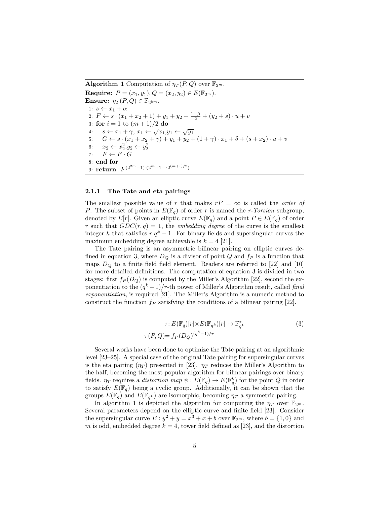**Algorithm 1** Computation of  $\eta_T(P,Q)$  over  $\mathbb{F}_{2^m}$ .

**Require:**  $P = (x_1, y_1), Q = (x_2, y_2) \in E(\mathbb{F}_{2^m}).$ Ensure:  $\eta_T(P,Q) \in \mathbb{F}_{2^{km}}$ . 1:  $s \leftarrow x_1 + \alpha$ 2:  $F \leftarrow s \cdot (x_1 + x_2 + 1) + y_1 + y_2 + \frac{1-\beta}{2} + (y_2 + s) \cdot u + v$ 3: for  $i = 1$  to  $(m + 1)/2$  do 3: **101**  $t = 1$  to  $(m + 1)/2$  **do**<br>4:  $s \leftarrow x_1 + \gamma, x_1 \leftarrow \sqrt{x_1}, y_1 \leftarrow \sqrt{y_1}$ 5:  $G \leftarrow s \cdot (x_1 + x_2 + \gamma) + y_1 + y_2 + (1 + \gamma) \cdot x_1 + \delta + (s + x_2) \cdot u + v$ 6:  $x_2 \leftarrow x_2^2, y_2 \leftarrow y_2^2$ 7:  $F \leftarrow F \cdot C$ 8: end for 9: return  $F^{(2^{2m}-1)\cdot (2^m+1-\epsilon 2^{(m+1)/2})}$ 

#### 2.1.1 The Tate and eta pairings

The smallest possible value of r that makes  $rP = \infty$  is called the *order of* P. The subset of points in  $E(\mathbb{F}_q)$  of order r is named the r-Torsion subgroup, denoted by  $E[r]$ . Given an elliptic curve  $E(\mathbb{F}_q)$  and a point  $P \in E(\mathbb{F}_q)$  of order r such that  $GDC(r, q) = 1$ , the *embedding degree* of the curve is the smallest integer k that satisfies  $r|q^k - 1$ . For binary fields and supersingular curves the maximum embedding degree achievable is  $k = 4$  [21].

The Tate pairing is an asymmetric bilinear pairing on elliptic curves defined in equation 3, where  $D_Q$  is a divisor of point  $Q$  and  $f_P$  is a function that maps  $D<sub>O</sub>$  to a finite field field element. Readers are referred to [22] and [10] for more detailed definitions. The computation of equation 3 is divided in two stages: first  $f_P(D_Q)$  is computed by the Miller's Algorithm [22], second the exponentiation to the  $(q^k-1)/r$ -th power of Miller's Algorithm result, called final exponentiation, is required [21]. The Miller's Algorithm is a numeric method to construct the function  $f_P$  satisfying the conditions of a bilinear pairing [22].

$$
\tau: E(\mathbb{F}_q)[r] \times E(\mathbb{F}_{q^k})[r] \to \mathbb{F}_{q^k}^*
$$
\n
$$
\tau(P, Q) = f_P(D_Q)^{(q^k - 1)/r}
$$
\n(3)

Several works have been done to optimize the Tate pairing at an algorithmic level [23–25]. A special case of the original Tate pairing for supersingular curves is the eta pairing  $(\eta_T)$  presented in [23].  $\eta_T$  reduces the Miller's Algorithm to the half, becoming the most popular algorithm for bilinear pairings over binary fields.  $\eta_T$  requires a *distortion map*  $\psi : E(\mathbb{F}_q) \to E(\mathbb{F}_q^k)$  for the point Q in order to satisfy  $E(\mathbb{F}_q)$  being a cyclic group. Additionally, it can be shown that the groups  $E(\mathbb{F}_q)$  and  $E(\mathbb{F}_{q^k})$  are isomorphic, becoming  $\eta_T$  a symmetric pairing.

In algorithm 1 is depicted the algorithm for computing the  $\eta_T$  over  $\mathbb{F}_{2^m}$ . Several parameters depend on the elliptic curve and finite field [23]. Consider the supersingular curve  $E: y^2 + y = x^3 + x + b$  over  $\mathbb{F}_{2^m}$ , where  $b = \{1, 0\}$  and m is odd, embedded degree  $k = 4$ , tower field defined as [23], and the distortion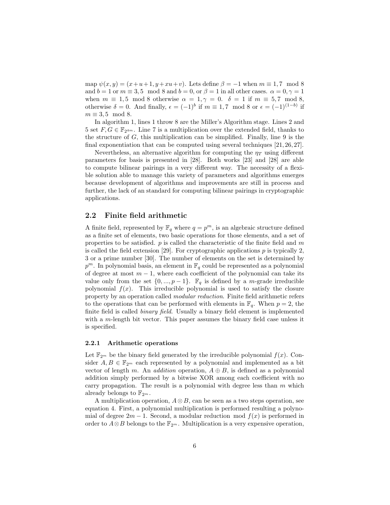map  $\psi(x, y) = (x + u + 1, y + xu + v)$ . Lets define  $\beta = -1$  when  $m \equiv 1, 7 \mod 8$ and  $b = 1$  or  $m \equiv 3, 5 \mod 8$  and  $b = 0$ , or  $\beta = 1$  in all other cases.  $\alpha = 0, \gamma = 1$ when  $m \equiv 1, 5 \mod 8$  otherwise  $\alpha = 1, \gamma = 0$ .  $\delta = 1$  if  $m \equiv 5, 7 \mod 8$ , otherwise  $\delta = 0$ . And finally,  $\epsilon = (-1)^b$  if  $m \equiv 1, 7 \mod 8$  or  $\epsilon = (-1)^{(1-b)}$  if  $m \equiv 3.5 \mod 8$ .

In algorithm 1, lines 1 throw 8 are the Miller's Algorithm stage. Lines 2 and 5 set  $F, G \in \mathbb{F}_{2^{4m}}$ . Line 7 is a multiplication over the extended field, thanks to the structure of  $G$ , this multiplication can be simplified. Finally, line  $9$  is the final exponentiation that can be computed using several techniques [21, 26, 27].

Nevertheless, an alternative algorithm for computing the  $\eta_T$  using different parameters for basis is presented in [28]. Both works [23] and [28] are able to compute bilinear pairings in a very different way. The necessity of a flexible solution able to manage this variety of parameters and algorithms emerges because development of algorithms and improvements are still in process and further, the lack of an standard for computing bilinear pairings in cryptographic applications.

## 2.2 Finite field arithmetic

A finite field, represented by  $\mathbb{F}_q$  where  $q = p^m$ , is an algebraic structure defined as a finite set of elements, two basic operations for those elements, and a set of properties to be satisfied. p is called the characteristic of the finite field and  $m$ is called the field extension [29]. For cryptographic applications  $p$  is typically 2, 3 or a prime number [30]. The number of elements on the set is determined by  $p^m$ . In polynomial basis, an element in  $\mathbb{F}_q$  could be represented as a polynomial of degree at most  $m-1$ , where each coefficient of the polynomial can take its value only from the set  $\{0, ..., p-1\}$ .  $\mathbb{F}_q$  is defined by a *m*-grade irreducible polynomial  $f(x)$ . This irreducible polynomial is used to satisfy the closure property by an operation called modular reduction. Finite field arithmetic refers to the operations that can be performed with elements in  $\mathbb{F}_q$ . When  $p = 2$ , the finite field is called binary field. Usually a binary field element is implemented with a *m*-length bit vector. This paper assumes the binary field case unless it is specified.

#### 2.2.1 Arithmetic operations

Let  $\mathbb{F}_{2^m}$  be the binary field generated by the irreducible polynomial  $f(x)$ . Consider  $A, B \in \mathbb{F}_{2^m}$  each represented by a polynomial and implemented as a bit vector of length m. An *addition* operation,  $A \oplus B$ , is defined as a polynomial addition simply performed by a bitwise XOR among each coefficient with no carry propagation. The result is a polynomial with degree less than  $m$  which already belongs to  $\mathbb{F}_{2^m}$ .

A multiplication operation,  $A \otimes B$ , can be seen as a two steps operation, see equation 4. First, a polynomial multiplication is performed resulting a polynomial of degree  $2m - 1$ . Second, a modular reduction mod  $f(x)$  is performed in order to  $A \otimes B$  belongs to the  $\mathbb{F}_{2^m}$ . Multiplication is a very expensive operation,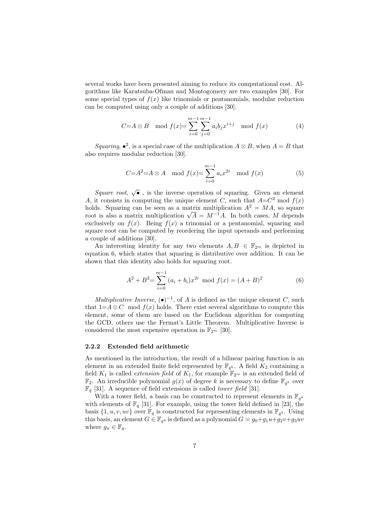several works have been presented aiming to reduce its computational cost. Algorithms like Karatsuba-Ofman and Montogomery are two examples [30]. For some special types of  $f(x)$  like trinomials or pentanomials, modular reduction can be computed using only a couple of additions [30].

$$
C=A \otimes B \mod f(x) = \sum_{i=0}^{m-1} \sum_{j=0}^{m-1} a_i b_j x^{i+j} \mod f(x) \tag{4}
$$

Squaring,  $\bullet^2$ , is a special case of the multiplication  $A \otimes B$ , when  $A = B$  that also requires modular reduction [30].

$$
C = A^2 = A \otimes A \mod f(x) = \sum_{i=0}^{m-1} a_i x^{2i} \mod f(x)
$$
 (5)

Square root,  $\sqrt{\bullet}$ , is the inverse operation of squaring. Given an element A, it consists in computing the unique element C, such that  $A=C^2 \mod f(x)$ holds. Squaring can be seen as a matrix multiplication  $A^2 = MA$ , so square root is also a matrix multiplication  $\sqrt{A} = M^{-1}A$ . In both cases, M depends exclusively on  $f(x)$ . Being  $f(x)$  a trinomial or a pentanomial, squaring and square root can be computed by reordering the input operands and performing a couple of additions [30].

An interesting identity for any two elements  $A, B \in \mathbb{F}_{2^m}$  is depicted in equation 6, which states that squaring is distributive over addition. It can be shown that this identity also holds for squaring root.

$$
A^{2} + B^{2} = \sum_{i=0}^{m-1} (a_{i} + b_{i})x^{2i} \text{ mod } f(x) = (A + B)^{2}
$$
 (6)

Multiplicative Inverse,  $(\bullet)^{-1}$ , of A is defined as the unique element C, such that  $1=A\otimes C \mod f(x)$  holds. There exist several algorithms to compute this element, some of them are based on the Euclidean algorithm for computing the GCD, others use the Fermat's Little Theorem. Multiplicative Inverse is considered the most expensive operation in  $\mathbb{F}_{2^m}$  [30].

#### 2.2.2 Extended field arithmetic

As mentioned in the introduction, the result of a bilinear pairing function is an element in an extended finite field represented by  $\mathbb{F}_{q^k}$ . A field  $K_2$  containing a field  $K_1$  is called *extension field* of  $K_1$ , for example  $\mathbb{F}_{2^m}$  is an extended field of  $\mathbb{F}_2$ . An irreducible polynomial  $g(x)$  of degree k is necessary to define  $\mathbb{F}_{q^k}$  over  $\mathbb{F}_q$  [31]. A sequence of field extensions is called *tower field* [31].

With a tower field, a basis can be constructed to represent elements in  $\mathbb{F}_{q^k}$ with elements of  $\mathbb{F}_q$  [31]. For example, using the tower field defined in [23], the basis  $\{1, u, v, uv\}$  over  $\mathbb{F}_q$  is constructed for representing elements in  $\mathbb{F}_{q^4}$ . Using this basis, an element  $G \in \mathbb{F}_{q^4}$  is defined as a polynomial  $G = g_0 + g_1 u + g_2 v + g_3 u v$ where  $g_n \in \mathbb{F}_q$ .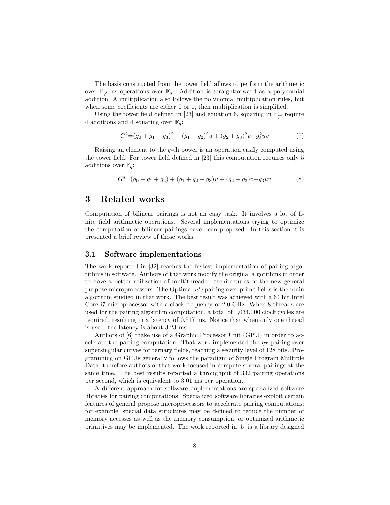The basis constructed from the tower field allows to perform the arithmetic over  $\mathbb{F}_{q^k}$  as operations over  $\mathbb{F}_q$ . Addition is straightforward as a polynomial addition. A multiplication also follows the polynomial multiplication rules, but when some coefficients are either 0 or 1, then multiplication is simplified.

Using the tower field defined in [23] and equation 6, squaring in  $\mathbb{F}_{q^4}$  require 4 additions and 4 squaring over  $\mathbb{F}_q$ :

$$
G2 = (g0 + g1 + g3)2 + (g1 + g2)2u + (g2 + g3)2v + g32uv
$$
 (7)

Raising an element to the q-th power is an operation easily computed using the tower field. For tower field defined in [23] this computation requires only 5 additions over  $\mathbb{F}_q$ :

$$
Gq = (g0 + g1 + g2) + (g1 + g2 + g3)u + (g2 + g3)v + g3uv
$$
 (8)

# 3 Related works

Computation of bilinear pairings is not an easy task. It involves a lot of finite field arithmetic operations. Several implementations trying to optimize the computation of bilinear pairings have been proposed. In this section it is presented a brief review of those works.

# 3.1 Software implementations

The work reported in [32] reaches the fastest implementation of pairing algorithms in software. Authors of that work modify the original algorithms in order to have a better utilization of multithreaded architectures of the new general purpose microprocessors. The Optimal ate pairing over prime fields is the main algorithm studied in that work. The best result was achieved with a 64 bit Intel Core i7 microprocessor with a clock frequency of 2.0 GHz. When 8 threads are used for the pairing algorithm computation, a total of 1,034,000 clock cycles are required, resulting in a latency of 0.517 ms. Notice that when only one thread is used, the latency is about 3.23 ms.

Authors of [6] make use of a Graphic Processor Unit (GPU) in order to accelerate the pairing computation. That work implemented the  $\eta_T$  pairing over supersingular curves for ternary fields, reaching a security level of 128 bits. Programming on GPUs generally follows the paradigm of Single Program Multiple Data, therefore authors of that work focused in compute several pairings at the same time. The best results reported a throughput of 332 pairing operations per second, which is equivalent to 3.01 ms per operation.

A different approach for software implementations are specialized software libraries for pairing computations. Specialized software libraries exploit certain features of general propose microprocessors to accelerate pairing computations; for example, special data structures may be defined to reduce the number of memory accesses as well as the memory consumption, or optimized arithmetic primitives may be implemented. The work reported in [5] is a library designed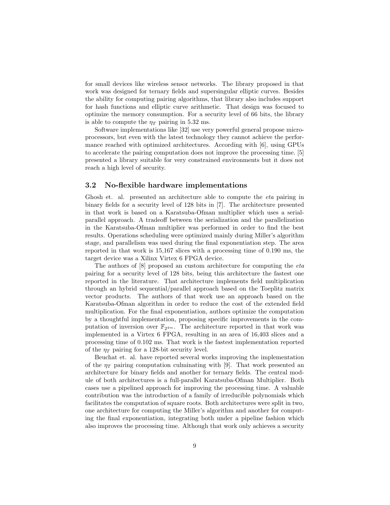for small devices like wireless sensor networks. The library proposed in that work was designed for ternary fields and supersingular elliptic curves. Besides the ability for computing pairing algorithms, that library also includes support for hash functions and elliptic curve arithmetic. That design was focused to optimize the memory consumption. For a security level of 66 bits, the library is able to compute the  $\eta_T$  pairing in 5.32 ms.

Software implementations like [32] use very powerful general propose microprocessors, but even with the latest technology they cannot achieve the performance reached with optimized architectures. According with [6], using GPUs to accelerate the pairing computation does not improve the processing time. [5] presented a library suitable for very constrained environments but it does not reach a high level of security.

## 3.2 No-flexible hardware implementations

Ghosh et. al. presented an architecture able to compute the eta pairing in binary fields for a security level of 128 bits in [7]. The architecture presented in that work is based on a Karatsuba-Ofman multiplier which uses a serialparallel approach. A tradeoff between the serialization and the parallelization in the Karatsuba-Ofman multiplier was performed in order to find the best results. Operations scheduling were optimized mainly during Miller's algorithm stage, and parallelism was used during the final exponentiation step. The area reported in that work is 15,167 slices with a processing time of 0.190 ms, the target device was a Xilinx Virtex 6 FPGA device.

The authors of [8] proposed an custom architecture for computing the eta pairing for a security level of 128 bits, being this architecture the fastest one reported in the literature. That architecture implements field multiplication through an hybrid sequential/parallel approach based on the Toeplitz matrix vector products. The authors of that work use an approach based on the Karatsuba-Ofman algorithm in order to reduce the cost of the extended field multiplication. For the final exponentiation, authors optimize the computation by a thoughtful implementation, proposing specific improvements in the computation of inversion over  $\mathbb{F}_{2^{4m}}$ . The architecture reported in that work was implemented in a Virtex 6 FPGA, resulting in an area of 16,403 slices and a processing time of 0.102 ms. That work is the fastest implementation reported of the  $\eta_T$  pairing for a 128-bit security level.

Beuchat et. al. have reported several works improving the implementation of the  $\eta_T$  pairing computation culminating with [9]. That work presented an architecture for binary fields and another for ternary fields. The central module of both architectures is a full-parallel Karatsuba-Ofman Multiplier. Both cases use a pipelined approach for improving the processing time. A valuable contribution was the introduction of a family of irreducible polynomials which facilitates the computation of square roots. Both architectures were split in two, one architecture for computing the Miller's algorithm and another for computing the final exponentiation, integrating both under a pipeline fashion which also improves the processing time. Although that work only achieves a security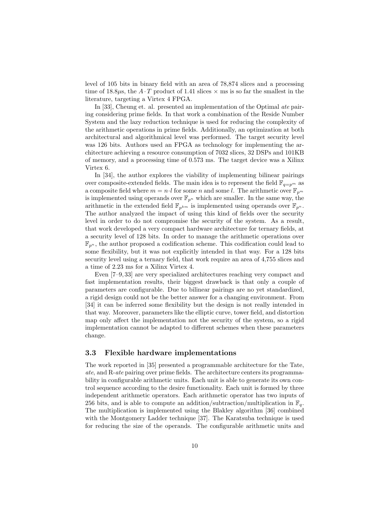level of 105 bits in binary field with an area of 78,874 slices and a processing time of 18.8 $\mu$ s, the A · T product of 1.41 slices  $\times$  ms is so far the smallest in the literature, targeting a Virtex 4 FPGA.

In [33], Cheung et. al. presented an implementation of the Optimal ate pairing considering prime fields. In that work a combination of the Reside Number System and the lazy reduction technique is used for reducing the complexity of the arithmetic operations in prime fields. Additionally, an optimization at both architectural and algorithmical level was performed. The target security level was 126 bits. Authors used an FPGA as technology for implementing the architecture achieving a resource consumption of 7032 slices, 32 DSPs and 101KB of memory, and a processing time of 0.573 ms. The target device was a Xilinx Virtex 6.

In [34], the author explores the viability of implementing bilinear pairings over composite-extended fields. The main idea is to represent the field  $\mathbb{F}_{q=p^m}$  as a composite field where  $m = n \cdot l$  for some n and some l. The arithmetic over  $\mathbb{F}_{p^m}$ is implemented using operands over  $\mathbb{F}_{p^n}$  which are smaller. In the same way, the arithmetic in the extended field  $\mathbb{F}_{p^{km}}$  is implemented using operands over  $\mathbb{F}_{p^n}$ . The author analyzed the impact of using this kind of fields over the security level in order to do not compromise the security of the system. As a result, that work developed a very compact hardware architecture for ternary fields, at a security level of 128 bits. In order to manage the arithmetic operations over  $\mathbb{F}_{p^n}$ , the author proposed a codification scheme. This codification could lead to some flexibility, but it was not explicitly intended in that way. For a 128 bits security level using a ternary field, that work require an area of 4,755 slices and a time of 2.23 ms for a Xilinx Virtex 4.

Even [7–9, 33] are very specialized architectures reaching very compact and fast implementation results, their biggest drawback is that only a couple of parameters are configurable. Due to bilinear pairings are no yet standardized, a rigid design could not be the better answer for a changing environment. From [34] it can be inferred some flexibility but the design is not really intended in that way. Moreover, parameters like the elliptic curve, tower field, and distortion map only affect the implementation not the security of the system, so a rigid implementation cannot be adapted to different schemes when these parameters change.

## 3.3 Flexible hardware implementations

The work reported in [35] presented a programmable architecture for the Tate, ate, and R-ate pairing over prime fields. The architecture centers its programmability in configurable arithmetic units. Each unit is able to generate its own control sequence according to the desire functionality. Each unit is formed by three independent arithmetic operators. Each arithmetic operator has two inputs of 256 bits, and is able to compute an addition/subtraction/multiplication in  $\mathbb{F}_q$ . The multiplication is implemented using the Blakley algorithm [36] combined with the Montgomery Ladder technique [37]. The Karatsuba technique is used for reducing the size of the operands. The configurable arithmetic units and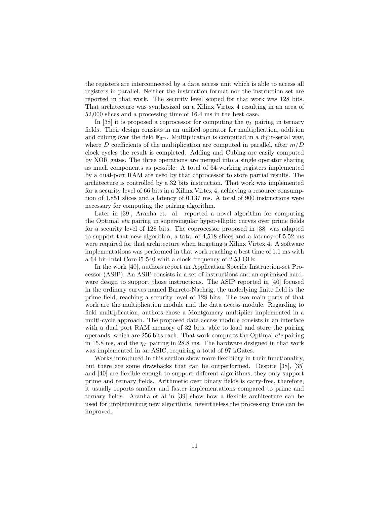the registers are interconnected by a data access unit which is able to access all registers in parallel. Neither the instruction format nor the instruction set are reported in that work. The security level scoped for that work was 128 bits. That architecture was synthesized on a Xilinx Virtex 4 resulting in an area of 52,000 slices and a processing time of 16.4 ms in the best case.

In [38] it is proposed a coprocessor for computing the  $\eta_T$  pairing in ternary fields. Their design consists in an unified operator for multiplication, addition and cubing over the field  $\mathbb{F}_{3^m}$ . Multiplication is computed in a digit-serial way, where D coefficients of the multiplication are computed in parallel, after  $m/D$ clock cycles the result is completed. Adding and Cubing are easily computed by XOR gates. The three operations are merged into a single operator sharing as much components as possible. A total of 64 working registers implemented by a dual-port RAM are used by that coprocessor to store partial results. The architecture is controlled by a 32 bits instruction. That work was implemented for a security level of 66 bits in a Xilinx Virtex 4, achieving a resource consumption of 1,851 slices and a latency of 0.137 ms. A total of 900 instructions were necessary for computing the pairing algorithm.

Later in [39], Aranha et. al. reported a novel algorithm for computing the Optimal eta pairing in supersingular hyper-elliptic curves over prime fields for a security level of 128 bits. The coprocessor proposed in [38] was adapted to support that new algorithm, a total of 4,518 slices and a latency of 5.52 ms were required for that architecture when targeting a Xilinx Virtex 4. A software implementations was performed in that work reaching a best time of 1.1 ms with a 64 bit Intel Core i5 540 whit a clock frequency of 2.53 GHz.

In the work [40], authors report an Application Specific Instruction-set Processor (ASIP). An ASIP consists in a set of instructions and an optimized hardware design to support those instructions. The ASIP reported in [40] focused in the ordinary curves named Barreto-Naehrig, the underlying finite field is the prime field, reaching a security level of 128 bits. The two main parts of that work are the multiplication module and the data access module. Regarding to field multiplication, authors chose a Montgomery multiplier implemented in a multi-cycle approach. The proposed data access module consists in an interface with a dual port RAM memory of 32 bits, able to load and store the pairing operands, which are 256 bits each. That work computes the Optimal ate pairing in 15.8 ms, and the  $\eta_T$  pairing in 28.8 ms. The hardware designed in that work was implemented in an ASIC, requiring a total of 97 kGates.

Works introduced in this section show more flexibility in their functionality, but there are some drawbacks that can be outperformed. Despite [38], [35] and [40] are flexible enough to support different algorithms, they only support prime and ternary fields. Arithmetic over binary fields is carry-free, therefore, it usually reports smaller and faster implementations compared to prime and ternary fields. Aranha et al in [39] show how a flexible architecture can be used for implementing new algorithms, nevertheless the processing time can be improved.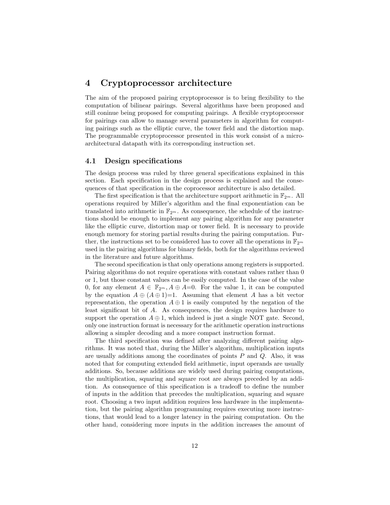# 4 Cryptoprocessor architecture

The aim of the proposed pairing cryptoprocessor is to bring flexibility to the computation of bilinear pairings. Several algorithms have been proposed and still coninue being proposed for computing pairings. A flexible cryptoprocessor for pairings can allow to manage several parameters in algorithm for computing pairings such as the elliptic curve, the tower field and the distortion map. The programmable cryptoprocessor presented in this work consist of a microarchitectural datapath with its corresponding instruction set.

# 4.1 Design specifications

The design process was ruled by three general specifications explained in this section. Each specification in the design process is explained and the consequences of that specification in the coprocessor architecture is also detailed.

The first specification is that the architecture support arithmetic in  $\mathbb{F}_{2^m}$ . All operations required by Miller's algorithm and the final exponentiation can be translated into arithmetic in  $\mathbb{F}_{2^m}$ . As consequence, the schedule of the instructions should be enough to implement any pairing algorithm for any parameter like the elliptic curve, distortion map or tower field. It is necessary to provide enough memory for storing partial results during the pairing computation. Further, the instructions set to be considered has to cover all the operations in  $\mathbb{F}_{2^m}$ used in the pairing algorithms for binary fields, both for the algorithms reviewed in the literature and future algorithms.

The second specification is that only operations among registers is supported. Pairing algorithms do not require operations with constant values rather than 0 or 1, but those constant values can be easily computed. In the case of the value 0, for any element  $A \in \mathbb{F}_{2^m}$ ,  $A \oplus A=0$ . For the value 1, it can be computed by the equation  $A \oplus (A \oplus 1)=1$ . Assuming that element A has a bit vector representation, the operation  $A \oplus 1$  is easily computed by the negation of the least significant bit of A. As consequences, the design requires hardware to support the operation  $A \oplus 1$ , which indeed is just a single NOT gate. Second, only one instruction format is necessary for the arithmetic operation instructions allowing a simpler decoding and a more compact instruction format.

The third specification was defined after analyzing different pairing algorithms. It was noted that, during the Miller's algorithm, multiplication inputs are usually additions among the coordinates of points  $P$  and  $Q$ . Also, it was noted that for computing extended field arithmetic, input operands are usually additions. So, because additions are widely used during pairing computations, the multiplication, squaring and square root are always preceded by an addition. As consequence of this specification is a tradeoff to define the number of inputs in the addition that precedes the multiplication, squaring and square root. Choosing a two input addition requires less hardware in the implementation, but the pairing algorithm programming requires executing more instructions, that would lead to a longer latency in the pairing computation. On the other hand, considering more inputs in the addition increases the amount of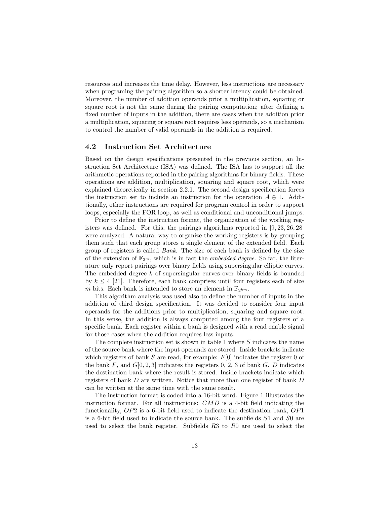resources and increases the time delay. However, less instructions are necessary when programing the pairing algorithm so a shorter latency could be obtained. Moreover, the number of addition operands prior a multiplication, squaring or square root is not the same during the pairing computation; after defining a fixed number of inputs in the addition, there are cases when the addition prior a multiplication, squaring or square root requires less operands, so a mechanism to control the number of valid operands in the addition is required.

## 4.2 Instruction Set Architecture

Based on the design specifications presented in the previous section, an Instruction Set Architecture (ISA) was defined. The ISA has to support all the arithmetic operations reported in the pairing algorithms for binary fields. These operations are addition, multiplication, squaring and square root, which were explained theoretically in section 2.2.1. The second design specification forces the instruction set to include an instruction for the operation  $A \oplus 1$ . Additionally, other instructions are required for program control in order to support loops, especially the FOR loop, as well as conditional and unconditional jumps.

Prior to define the instruction format, the organization of the working registers was defined. For this, the pairings algorithms reported in [9, 23, 26, 28] were analyzed. A natural way to organize the working registers is by grouping them such that each group stores a single element of the extended field. Each group of registers is called Bank. The size of each bank is defined by the size of the extension of  $\mathbb{F}_{2m}$ , which is in fact the *embedded degree*. So far, the literature only report pairings over binary fields using supersingular elliptic curves. The embedded degree  $k$  of supersingular curves over binary fields is bounded by  $k \leq 4$  [21]. Therefore, each bank comprises until four registers each of size m bits. Each bank is intended to store an element in  $\mathbb{F}_{2^{km}}$ .

This algorithm analysis was used also to define the number of inputs in the addition of third design specification. It was decided to consider four input operands for the additions prior to multiplication, squaring and square root. In this sense, the addition is always computed among the four registers of a specific bank. Each register within a bank is designed with a read enable signal for those cases when the addition requires less inputs.

The complete instruction set is shown in table 1 where  $S$  indicates the name of the source bank where the input operands are stored. Inside brackets indicate which registers of bank  $S$  are read, for example:  $F[0]$  indicates the register 0 of the bank F, and  $G[0, 2, 3]$  indicates the registers 0, 2, 3 of bank G. D indicates the destination bank where the result is stored. Inside brackets indicate which registers of bank D are written. Notice that more than one register of bank D can be written at the same time with the same result.

The instruction format is coded into a 16-bit word. Figure 1 illustrates the instruction format. For all instructions: CMD is a 4-bit field indicating the functionality, OP2 is a 6-bit field used to indicate the destination bank, OP1 is a 6-bit field used to indicate the source bank. The subfields S1 and S0 are used to select the bank register. Subfields R3 to R0 are used to select the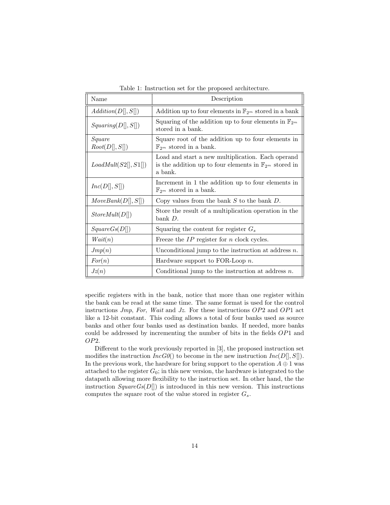| Name                     | Description                                                                                                                         |
|--------------------------|-------------------------------------------------------------------------------------------------------------------------------------|
| Addition(D[, S]])        | Addition up to four elements in $\mathbb{F}_{2^m}$ stored in a bank                                                                 |
| Squaring(D[], S[])       | Squaring of the addition up to four elements in $\mathbb{F}_{2^m}$<br>stored in a bank.                                             |
| Square<br>Root(D[], S[]) | Square root of the addition up to four elements in<br>$\mathbb{F}_{2^m}$ stored in a bank.                                          |
| LoadMult(S2[], S1[])     | Load and start a new multiplication. Each operand<br>is the addition up to four elements in $\mathbb{F}_{2^m}$ stored in<br>a bank. |
| Inc(D[], S[])            | Increment in 1 the addition up to four elements in<br>$\mathbb{F}_{2^m}$ stored in a bank.                                          |
| MoveBank(D[], S[])       | Copy values from the bank $S$ to the bank $D$ .                                                                                     |
| StoreMult(D[])           | Store the result of a multiplication operation in the<br>bank D.                                                                    |
| SquareGs(D[])            | Squaring the content for register $G_s$                                                                                             |
| Wait(n)                  | Freeze the $IP$ register for n clock cycles.                                                                                        |
| Jmp(n)                   | Unconditional jump to the instruction at address $n$ .                                                                              |
| For(n)                   | Hardware support to FOR-Loop $n$ .                                                                                                  |
| Jz(n)                    | Conditional jump to the instruction at address $n$ .                                                                                |

Table 1: Instruction set for the proposed architecture.

specific registers with in the bank, notice that more than one register within the bank can be read at the same time. The same format is used for the control instructions  $Jmp$ , For, Wait and Jz. For these instructions  $OP2$  and  $OP1$  act like a 12-bit constant. This coding allows a total of four banks used as source banks and other four banks used as destination banks. If needed, more banks could be addressed by incrementing the number of bits in the fields OP1 and OP2.

Different to the work previously reported in [3], the proposed instruction set modifies the instruction  $IncGO()$  to become in the new instruction  $Inc(D[, S])$ . In the previous work, the hardware for bring support to the operation  $A \oplus 1$  was attached to the register  $G_0$ ; in this new version, the hardware is integrated to the datapath allowing more flexibility to the instruction set. In other hand, the the instruction  $SquareGs(D[])$  is introduced in this new version. This instructions computes the square root of the value stored in register  $G_s$ .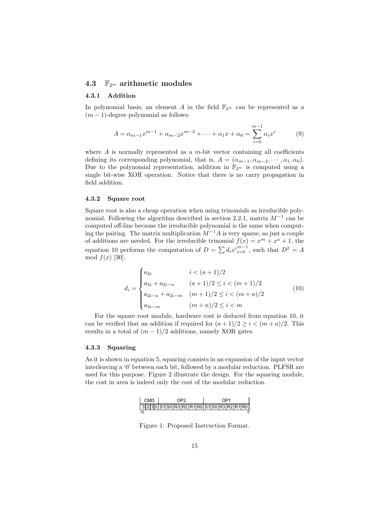## 4.3  $\mathbb{F}_{2^m}$  arithmetic modules

#### 4.3.1 Addition

In polynomial basis, an element A in the field  $\mathbb{F}_{2^m}$  can be represented as a  $(m-1)$ -degree polynomial as follows:

$$
A = \alpha_{m-1} x^{m-1} + \alpha_{m-2} x^{m-2} + \dots + \alpha_1 x + \alpha_0 = \sum_{i=0}^{m-1} \alpha_i x^i \tag{9}
$$

where  $A$  is normally represented as a  $m$ -bit vector containing all coefficients defining its corresponding polynomial, that is,  $A = (\alpha_{m-1}, \alpha_{m-2}, \cdots, \alpha_1, \alpha_0)$ . Due to the polynomial representation, addition in  $\mathbb{F}_{2^m}$  is computed using a single bit-wise XOR operation. Notice that there is no carry propagation in field addition.

## 4.3.2 Square root

Square root is also a cheap operation when using trinomials as irreducible polynomial. Following the algorithm described in section 2.2.1, matrix  $M^{-1}$  can be computed off-line because the irreducible polynomial is the same when computing the pairing. The matrix multiplication  $M^{-1}A$  is very sparse, so just a couple of additions are needed. For the irreducible trinomial  $f(x) = x^m + x^a + 1$ , the equation 10 performs the computation of  $D = \sum d_i x^{i}{}_{i=0}^{m-1}$ , such that  $D^2 = A$ mod  $f(x)$  [30].

$$
d_i = \begin{cases} a_{2i} & i < (a+1)/2\\ a_{2i} + a_{2i-a} & (a+1)/2 \le i < (m+1)/2\\ a_{2i-a} + a_{2i-m} & (m+1)/2 \le i < (m+a)/2\\ a_{2i-m} & (m+n)/2 \le i < m \end{cases} \tag{10}
$$

For the square root module, hardware cost is deduced from equation 10, it can be verified that an addition if required for  $(a+1)/2 \geq i < (m+a)/2$ . This results in a total of  $(m-1)/2$  additions, namely XOR gates.

#### 4.3.3 Squaring

As it is shown in equation 5, squaring consists in an expansion of the input vector interleaving a '0' between each bit, followed by a modular reduction. PLFSR are used for this purpose. Figure 2 illustrate the design. For the squaring module, the cost in area is indeed only the cost of the modular reduction.



Figure 1: Proposed Instruction Format.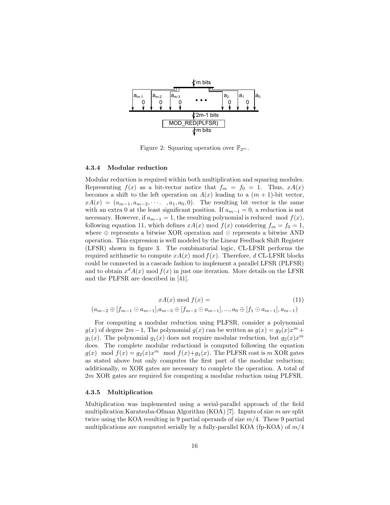

Figure 2: Squaring operation over  $\mathbb{F}_{2^m}$ .

#### 4.3.4 Modular reduction

Modular reduction is required within both multiplication and squaring modules. Representing  $f(x)$  as a bit-vector notice that  $f_m = f_0 = 1$ . Thus,  $xA(x)$ becomes a shift to the left operation on  $A(x)$  leading to a  $(m + 1)$ -bit vector,  $xA(x) = (a_{m-1}, a_{m-2}, \cdots, a_1, a_0, 0)$ . The resulting bit vector is the same with an extra 0 at the least significant position. If  $a_{m-1} = 0$ , a reduction is not necessary. However, if  $a_{m-1} = 1$ , the resulting polynomial is reduced mod  $f(x)$ , following equation 11, which defines  $xA(x) \mod f(x)$  considering  $f_m = f_0 = 1$ , where  $\oplus$  represents a bitwise XOR operation and  $\odot$  represents a bitwise AND operation. This expression is well modeled by the Linear Feedback Shift Register (LFSR) shown in figure 3. The combinatorial logic, CL-LFSR performs the required arithmetic to compute  $xA(x) \mod f(x)$ . Therefore, d CL-LFSR blocks could be connected in a cascade fashion to implement a parallel LFSR (PLFSR) and to obtain  $x^d A(x) \mod f(x)$  in just one iteration. More details on the LFSR and the PLFSR are described in [41].

$$
xA(x) \bmod f(x) =
$$
  
\n
$$
(a_{m-2} \oplus [f_{m-1} \odot a_{m-1}], a_{m-3} \oplus [f_{m-2} \odot a_{m-1}], ..., a_0 \oplus [f_1 \odot a_{m-1}], a_{m-1})
$$
\n(11)

For computing a modular reduction using PLFSR, consider a polynomial  $g(x)$  of degree  $2m-1$ , The polynomial  $g(x)$  can be written as  $g(x) = g_2(x)x^m +$  $g_1(x)$ . The polynomial  $g_1(x)$  does not require modular reduction, but  $g_2(x)x^m$ does. The complete modular reductiond is computed following the equation  $g(x) \mod f(x) = g_2(x)x^m \mod f(x)+g_1(x)$ . The PLFSR cost is m XOR gates as stated above but only computes the first part of the modular reduction; additionally, m XOR gates are necessary to complete the operation. A total of 2m XOR gates are required for computing a modular reduction using PLFSR.

#### 4.3.5 Multiplication

Multiplication was implemented using a serial-parallel approach of the field multiplication Karatsuba-Ofman Algorithm (KOA) [7]. Inputs of size m are split twice using the KOA resulting in 9 partial operands of size  $m/4$ . These 9 partial multiplications are computed serially by a fully-parallel KOA (fp-KOA) of  $m/4$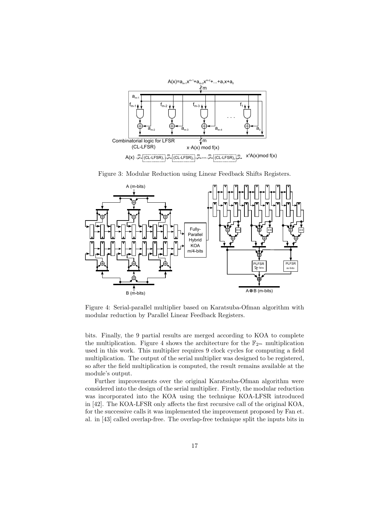

Figure 3: Modular Reduction using Linear Feedback Shifts Registers.



Figure 4: Serial-parallel multiplier based on Karatsuba-Ofman algorithm with modular reduction by Parallel Linear Feedback Registers.

bits. Finally, the 9 partial results are merged according to KOA to complete the multiplication. Figure 4 shows the architecture for the  $\mathbb{F}_{2^m}$  multiplication used in this work. This multiplier requires 9 clock cycles for computing a field multiplication. The output of the serial multiplier was designed to be registered, so after the field multiplication is computed, the result remains available at the module's output.

Further improvements over the original Karatsuba-Ofman algorithm were considered into the design of the serial multiplier. Firstly, the modular reduction was incorporated into the KOA using the technique KOA-LFSR introduced in [42]. The KOA-LFSR only affects the first recursive call of the original KOA, for the successive calls it was implemented the improvement proposed by Fan et. al. in [43] called overlap-free. The overlap-free technique split the inputs bits in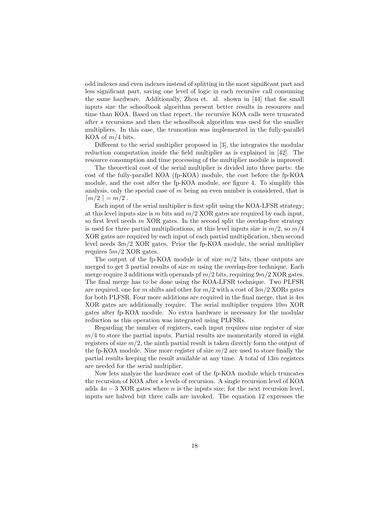odd indexes and even indexes instead of splitting in the most significant part and less significant part, saving one level of logic in each recursive call consuming the same hardware. Additionally, Zhou et. al. shown in [44] that for small inputs size the schoolbook algorithm present better results in resources and time than KOA. Based on that report, the recursive KOA calls were truncated after s recursions and then the schoolbook algorithm was used for the smaller multipliers. In this case, the truncation was implemented in the fully-parallel KOA of  $m/4$  bits.

Different to the serial multiplier proposed in [3], the integrates the modular reduction computation inside the field multiplier as is explained in [42]. The resource consumption and time processing of the multiplier module is improved.

The theoretical cost of the serial multiplier is divided into three parts: the cost of the fully-parallel KOA (fp-KOA) module, the cost before the fp-KOA module, and the cost after the fp-KOA module, see figure 4. To simplify this analysis, only the special case of  $m$  being an even number is considered, that is  $\lceil m/2 \rceil = m/2$ .

Each input of the serial multiplier is first split using the KOA-LFSR strategy; at this level inputs size is m bits and  $m/2$  XOR gates are required by each input, so first level needs  $m$  XOR gates. In the second split the overlap-free strategy is used for three partial multiplications, at this level inputs size is  $m/2$ , so  $m/4$ XOR gates are required by each input of each partial multiplication, then second level needs  $3m/2$  XOR gates. Prior the fp-KOA module, the serial multiplier requires  $5m/2$  XOR gates.

The output of the fp-KOA module is of size  $m/2$  bits, those outputs are merged to get 3 partial results of size  $m$  using the overlap-free technique. Each merge require 3 additions with operands pf  $m/2$  bits, requiring  $9m/2$  XOR gates. The final merge has to be done using the KOA-LFSR technique. Two PLFSR are required, one for m shifts and other for  $m/2$  with a cost of  $3m/2$  XORs gates for both PLFSR. Four more additions are required in the final merge, that is  $4m$ XOR gates are additionally require. The serial multiplier requires 10m XOR gates after fp-KOA module. No extra hardware is necessary for the modular reduction as this operation was integrated using PLFSRs.

Regarding the number of registers, each input requires nine register of size  $m/4$  to store the partial inputs. Partial results are momentarily stored in eight registers of size  $m/2$ , the ninth partial result is taken directly form the output of the fp-KOA module. Nine more register of size  $m/2$  are used to store finally the partial results keeping the result available at any time. A total of  $13m$  registers are needed for the serial multiplier.

Now lets analyze the hardware cost of the fp-KOA module which truncates the recursion of KOA after s levels of recursion. A single recursion level of KOA adds  $4n-3$  XOR gates where n is the inputs size; for the next recursion level, inputs are halved but three calls are invoked. The equation 12 expresses the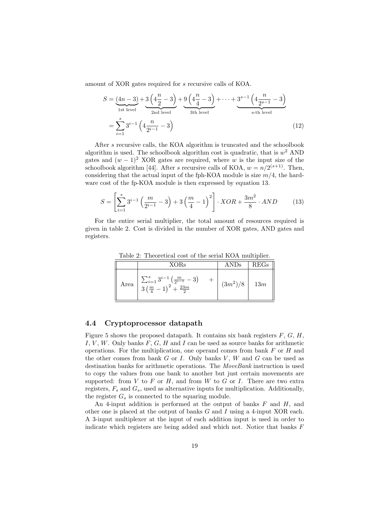amount of XOR gates required for s recursive calls of KOA.

$$
S = \underbrace{(4n-3)}_{1\text{st level}} + \underbrace{3\left(4\frac{n}{2}-3\right)}_{2\text{nd level}} + \underbrace{9\left(4\frac{n}{4}-3\right)}_{3\text{th level}} + \dots + \underbrace{3^{s-1}\left(4\frac{n}{2^{s-1}}-3\right)}_{\text{s-th level}}
$$
\n
$$
= \sum_{i=1}^{s} 3^{i-1} \left(4\frac{n}{2^{i-1}}-3\right) \tag{12}
$$

After s recursive calls, the KOA algorithm is truncated and the schoolbook algorithm is used. The schoolbook algorithm cost is quadratic, that is  $w^2$  AND gates and  $(w - 1)^2$  XOR gates are required, where w is the input size of the schoolbook algorithm [44]. After s recursive calls of KOA,  $w = n/2^{(s+1)}$ . Then, considering that the actual input of the fph-KOA module is size  $m/4$ , the hardware cost of the fp-KOA module is then expressed by equation 13.

$$
S = \left[\sum_{i=1}^{s} 3^{i-1} \left(\frac{m}{2^{i-1}} - 3\right) + 3\left(\frac{m}{4} - 1\right)^2\right] \cdot XOR + \frac{3m^2}{8} \cdot AND \tag{13}
$$

For the entire serial multiplier, the total amount of resources required is given in table 2. Cost is divided in the number of XOR gates, AND gates and registers.

|      | <b>XORs</b>                                                                                                                         | ANDs       | REGs |  |
|------|-------------------------------------------------------------------------------------------------------------------------------------|------------|------|--|
| Area | $\frac{\sum_{i=1}^{s} 3^{i-1} \left( \frac{m}{2^{i-1}} - 3 \right)}{3 \left( \frac{m}{4} - 1 \right)^2 + \frac{23m}{2}}$<br>$+$ $+$ | $(3m^2)/8$ | 13m  |  |

Table 2: Theoretical cost of the serial KOA multiplier.

# 4.4 Cryptoprocessor datapath

Figure 5 shows the proposed datapath. It contains six bank registers  $F, G, H$ , I, V, W. Only banks  $F, G, H$  and I can be used as source banks for arithmetic operations. For the multiplication, one operand comes from bank  $F$  or  $H$  and the other comes from bank  $G$  or  $I$ . Only banks  $V$ ,  $W$  and  $G$  can be used as destination banks for arithmetic operations. The *MoveBank* instruction is used to copy the values from one bank to another but just certain movements are supported: from  $V$  to  $F$  or  $H$ , and from  $W$  to  $G$  or  $I$ . There are two extra registers,  $F_s$  and  $G_s$ , used as alternative inputs for multiplication. Additionally, the register  $G_s$  is connected to the squaring module.

An 4-input addition is performed at the output of banks  $F$  and  $H$ , and other one is placed at the output of banks  $G$  and  $I$  using a 4-input XOR each. A 3-input multiplexer at the input of each addition input is used in order to indicate which registers are being added and which not. Notice that banks F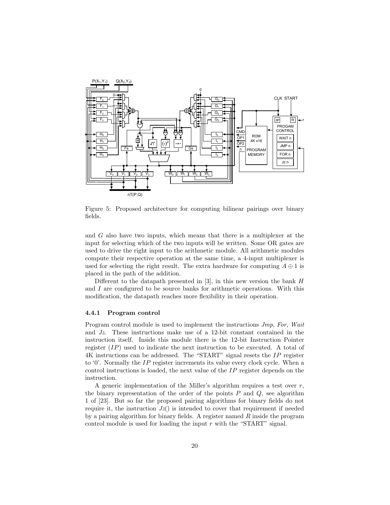

Figure 5: Proposed architecture for computing bilinear pairings over binary fields.

and G also have two inputs, which means that there is a multiplexer at the input for selecting which of the two inputs will be written. Some OR gates are used to drive the right input to the arithmetic module. All arithmetic modules compute their respective operation at the same time, a 4-input multiplexer is used for selecting the right result. The extra hardware for computing  $A \oplus 1$  is placed in the path of the addition.

Different to the datapath presented in  $[3]$ , in this new version the bank H and I are configured to be source banks for arithmetic operations. With this modification, the datapath reaches more flexibility in their operation.

#### 4.4.1 Program control

Program control module is used to implement the instructions Jmp, For, Wait and Jz. These instructions make use of a 12-bit constant contained in the instruction itself. Inside this module there is the 12-bit Instruction Pointer register  $(IP)$  used to indicate the next instruction to be executed. A total of 4K instructions can be addressed. The "START" signal resets the IP register to '0'. Normally the IP register increments its value every clock cycle. When a control instructions is loaded, the next value of the IP register depends on the instruction.

A generic implementation of the Miller's algorithm requires a test over  $r$ , the binary representation of the order of the points  $P$  and  $Q$ , see algorithm 1 of [23]. But so far the proposed pairing algorithms for binary fields do not require it, the instruction  $Jz()$  is intended to cover that requirement if needed by a pairing algorithm for binary fields. A register named  $R$  inside the program control module is used for loading the input  $r$  with the "START" signal.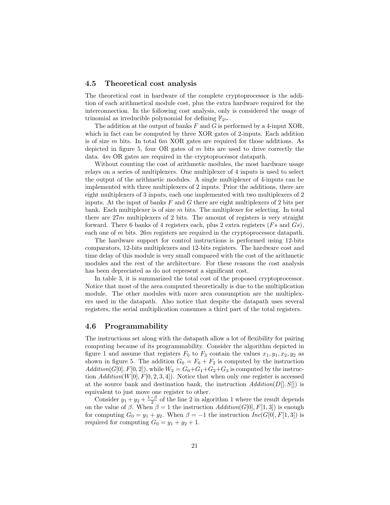## 4.5 Theoretical cost analysis

The theoretical cost in hardware of the complete cryptoprocessor is the addition of each arithmetical module cost, plus the extra hardware required for the interconnection. In the following cost analysis, only is considered the usage of trinomial as irreducible polynomial for defining  $\mathbb{F}_{2^m}$ .

The addition at the output of banks  $F$  and  $G$  is performed by a 4-input XOR, which in fact can be computed by three XOR gates of 2-inputs. Each addition is of size m bits. In total 6m XOR gates are required for those additions. As depicted in figure 5, four OR gates of  $m$  bits are used to drive correctly the data. 4m OR gates are required in the cryptoprocessor datapath.

Without counting the cost of arithmetic modules, the most hardware usage relays on a series of multiplexers. One multiplexer of 4 inputs is used to select the output of the arithmetic modules. A single multiplexer of 4-inputs can be implemented with three multiplexers of 2 inputs. Prior the additions, there are eight multiplexers of 3 inputs, each one implemented with two multiplexers of 2 inputs. At the input of banks  $F$  and  $G$  there are eight multiplexers of 2 bits per bank. Each multiplexer is of size  $m$  bits. The multiplexer for selecting. In total there are  $27m$  multiplexers of 2 bits. The amount of registers is very straight forward. There 6 banks of 4 registers each, plus 2 extra registers  $(Fs \text{ and } Gs)$ , each one of m bits. 26m registers are required in the cryptoprocessor datapath.

The hardware support for control instructions is performed using 12-bits comparators, 12-bits multiplexers and 12-bits registers. The hardware cost and time delay of this module is very small compared with the cost of the arithmetic modules and the rest of the architecture. For these reasons the cost analysis has been depreciated as do not represent a significant cost.

In table 3, it is summarized the total cost of the proposed cryptoprocessor. Notice that most of the area computed theoretically is due to the multiplication module. The other modules with more area consumption are the multiplexers used in the datapath. Also notice that despite the datapath uses several registers, the serial multiplication consumes a third part of the total registers.

## 4.6 Programmability

The instructions set along with the datapath allow a lot of flexibility for pairing computing because of its programmability. Consider the algorithm depicted in figure 1 and assume that registers  $F_0$  to  $F_3$  contain the values  $x_1, y_1, x_2, y_2$  as shown in figure 5. The addition  $G_0 = F_0 + F_2$  is computed by the instruction  $Addition(G[0], F[0, 2]),$  while  $W_2 = G_0 + G_1 + G_2 + G_3$  is computed by the instruction  $Addition(W[0], F[0, 2, 3, 4])$ . Notice that when only one register is accessed at the source bank and destination bank, the instruction  $Addition(D[, S]])$  is equivalent to just move one register to other.

Consider  $y_1 + y_2 + \frac{1-\beta}{2}$  of the line 2 in algorithm 1 where the result depends on the value of  $\beta$ . When  $\beta = 1$  the instruction  $Addition(G[0], F[1, 3])$  is enough for computing  $G_0 = y_1 + y_2$ . When  $\beta = -1$  the instruction  $Inc(G[0], F[1, 3])$  is required for computing  $G_0 = y_1 + y_2 + 1$ .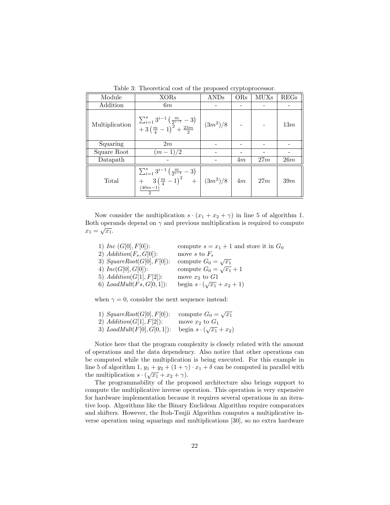| 100010 U.<br><b>International Copy of the proposed of repropresented.</b> |                                                                                                                            |            |     |             |      |  |  |
|---------------------------------------------------------------------------|----------------------------------------------------------------------------------------------------------------------------|------------|-----|-------------|------|--|--|
| Module                                                                    | <b>XORs</b>                                                                                                                | ANDs       | ORs | <b>MUXs</b> | REGs |  |  |
| Addition                                                                  | 6m                                                                                                                         |            |     |             |      |  |  |
| Multiplication                                                            | $\sum_{i=1}^{s} 3^{i-1} \left( \frac{m}{2^{i-1}} - 3 \right) + 3 \left( \frac{m}{4} - 1 \right)^2 + \frac{23m}{2}$         | $(3m^2)/8$ |     |             | 13m  |  |  |
| Squaring                                                                  | 2m                                                                                                                         |            |     |             |      |  |  |
| Square Root                                                               | $(m-1)/2$                                                                                                                  |            |     |             |      |  |  |
| Datapath                                                                  |                                                                                                                            |            | 4m  | 27m         | 26m  |  |  |
| Total                                                                     | $\sum_{i=1}^{s} 3^{i-1} \left( \frac{m}{2^{i-1}} - 3 \right)$<br>$+\frac{2}{3}(\frac{m}{4}-1)^2$ + $(3m^2)/8$<br>$(40m-1)$ |            | 4m  | 27m         | 39m  |  |  |

Table 3: Theoretical cost of the proposed cryptoprocessor.

Now consider the multiplication  $s \cdot (x_1 + x_2 + \gamma)$  in line 5 of algorithm 1. Both operands depend on  $\gamma$  and previous multiplication is required to compute Both open<br>  $x_1 = \sqrt{x_1}$ .

| 1) Inc $(G[0], F[0])$ :       | compute $s = x_1 + 1$ and store it in $G_0$ |
|-------------------------------|---------------------------------------------|
| 2) $Addition(F_s, G[0])$ :    | move s to $F_s$                             |
| 3) $SquareRoot(G[0], F[0])$ : | compute $G_0 = \sqrt{x_1}$                  |
| 4) $Inc(G[0], G[0])$ :        | compute $G_0 = \sqrt{x_1} + 1$              |
| 5) $Addition(G[1], F[2])$ :   | move $x_2$ to $G1$                          |
| 6) $LoadMult(Fs, G[0, 1])$ :  | begin $s \cdot (\sqrt{x_1} + x_2 + 1)$      |

when  $\gamma = 0$ , consider the next sequence instead:

| 1) $SquareRoot(G[0], F[0])$ : | compute $G_0 = \sqrt{x_1}$         |
|-------------------------------|------------------------------------|
| 2) $Addition(G[1], F[2])$ :   | move $x_2$ to $G_1$                |
| 3) $LoadMult(F[0], G[0, 1]):$ | begin $s \cdot (\sqrt{x_1} + x_2)$ |

Notice here that the program complexity is closely related with the amount of operations and the data dependency. Also notice that other operations can be computed while the multiplication is being executed. For this example in line 5 of algorithm 1,  $y_1 + y_2 + (1 + \gamma) \cdot x_1 + \delta$  can be computed in parallel with the multiplication  $s \cdot (\sqrt{x_1} + x_2 + \gamma)$ .

The programmability of the proposed architecture also brings support to compute the multiplicative inverse operation. This operation is very expensive for hardware implementation because it requires several operations in an iterative loop. Algorithms like the Binary Euclidean Algorithm require comparators and shifters. However, the Itoh-Tsujii Algorithm computes a multiplicative inverse operation using squarings and multiplications [30], so no extra hardware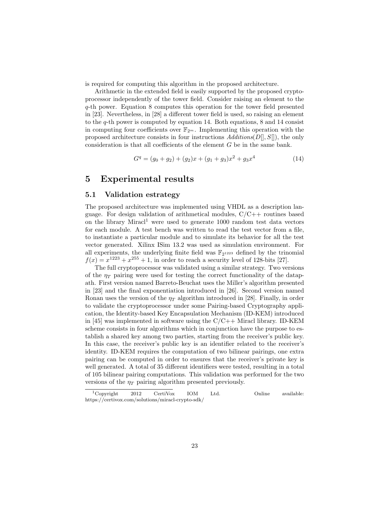is required for computing this algorithm in the proposed architecture.

Arithmetic in the extended field is easily supported by the proposed cryptoprocessor independently of the tower field. Consider raising an element to the q-th power. Equation 8 computes this operation for the tower field presented in [23]. Nevertheless, in [28] a different tower field is used, so raising an element to the q-th power is computed by equation 14. Both equations, 8 and 14 consist in computing four coefficients over  $\mathbb{F}_{2^m}$ . Implementing this operation with the proposed architecture consists in four instructions  $Additions(D[, S[],$  the only consideration is that all coefficients of the element G be in the same bank.

$$
Gq = (g0 + g2) + (g2)x + (g1 + g3)x2 + g3x4
$$
 (14)

# 5 Experimental results

## 5.1 Validation estrategy

The proposed architecture was implemented using VHDL as a description language. For design validation of arithmetical modules,  $C/C++$  routines based on the library Miracl<sup>1</sup> were used to generate  $1000$  random test data vectors for each module. A test bench was written to read the test vector from a file, to instantiate a particular module and to simulate its behavior for all the test vector generated. Xilinx ISim 13.2 was used as simulation environment. For all experiments, the underlying finite field was  $\mathbb{F}_{2^{1223}}$  defined by the trinomial  $f(x) = x^{1223} + x^{255} + 1$ , in order to reach a security level of 128-bits [27].

The full cryptoprocessor was validated using a similar strategy. Two versions of the  $\eta_T$  pairing were used for testing the correct functionality of the datapath. First version named Barreto-Beuchat uses the Miller's algorithm presented in [23] and the final exponentiation introduced in [26]. Second version named Ronan uses the version of the  $\eta_T$  algorithm introduced in [28]. Finally, in order to validate the cryptoprocessor under some Pairing-based Cryptography application, the Identity-based Key Encapsulation Mechanism (ID-KEM) introduced in [45] was implemented in software using the  $C/C++$  Miracl library. ID-KEM scheme consists in four algorithms which in conjunction have the purpose to establish a shared key among two parties, starting from the receiver's public key. In this case, the receiver's public key is an identifier related to the receiver's identity. ID-KEM requires the computation of two bilinear pairings, one extra pairing can be computed in order to ensures that the receiver's private key is well generated. A total of 35 different identifiers were tested, resulting in a total of 105 bilinear pairing computations. This validation was performed for the two versions of the  $\eta_T$  pairing algorithm presented previously.

 $\begin{tabular}{llll} \bf{1} \bf{Copyright} & \tt 2012 & \tt CertiVox & \tt IOM & \tt Ltd. & \tt 0 nline & available: \end{tabular}$ https://certivox.com/solutions/miracl-crypto-sdk/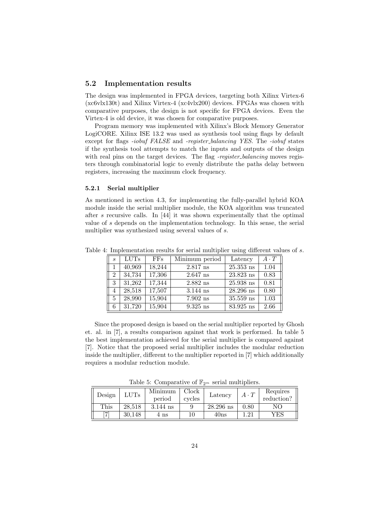## 5.2 Implementation results

The design was implemented in FPGA devices, targeting both Xilinx Virtex-6 (xc6vlx130t) and Xilinx Virtex-4 (xc4vlx200) devices. FPGAs was chosen with comparative purposes, the design is not specific for FPGA devices. Even the Virtex-4 is old device, it was chosen for comparative purposes.

Program memory was implemented with Xilinx's Block Memory Generator LogiCORE. Xilinx ISE 13.2 was used as synthesis tool using flags by default except for flags *-iobuf FALSE* and *-register\_balancing YES*. The *-iobuf* states if the synthesis tool attempts to match the inputs and outputs of the design with real pins on the target devices. The flag *-register\_balancing* moves registers through combinatorial logic to evenly distribute the paths delay between registers, increasing the maximum clock frequency.

#### 5.2.1 Serial multiplier

As mentioned in section 4.3, for implementing the fully-parallel hybrid KOA module inside the serial multiplier module, the KOA algorithm was truncated after s recursive calls. In [44] it was shown experimentally that the optimal value of s depends on the implementation technology. In this sense, the serial multiplier was synthesized using several values of s.

| $\mathcal{S}_{\mathcal{S}}$ | $\overline{\text{LUTs}}$ | FFs    | Minimum period | Latency              | $A \cdot T$ |
|-----------------------------|--------------------------|--------|----------------|----------------------|-------------|
|                             | 40,969                   | 18,244 | $2.817$ ns     | $25.353$ ns          | 1.04        |
| $\mathfrak{D}$              | 34,734                   | 17,306 | $2.647$ ns     | $23.823$ ns          | 0.83        |
| 3                           | 31,262                   | 17,344 | $2.882$ ns     | $25.938~\mathrm{ns}$ | 0.81        |
| 4                           | 28,518                   | 17,507 | $3.144$ ns     | $28.296$ ns          | 0.80        |
| 5                           | 28,990                   | 15,904 | $7.902$ ns     | $35.559~\mathrm{ns}$ | 1.03        |
| 6                           | 31,720                   | 15,904 | $9.325$ ns     | $83.925$ ns          | 2.66        |

Table 4: Implementation results for serial multiplier using different values of s.

Since the proposed design is based on the serial multiplier reported by Ghosh et. al. in [7], a results comparison against that work is performed. In table 5 the best implementation achieved for the serial multiplier is compared against [7]. Notice that the proposed serial multiplier includes the modular reduction inside the multiplier, different to the multiplier reported in [7] which additionally requires a modular reduction module.

Table 5: Comparative of  $\mathbb{F}_{2^m}$  serial multipliers.

| Design | $_{\rm LUTs}$ | Minimum    | Clock  | Latency     | $A \cdot T$      | Requires |
|--------|---------------|------------|--------|-------------|------------------|----------|
|        |               | period     | cycles |             |                  |          |
| This   | 28.518        | $3.144$ ns |        | $28.296$ ns | 0.80             | NΟ       |
| ъ,     | 30.148        | 4 ns       |        | 40ns        | 1.2 <sup>1</sup> | YES      |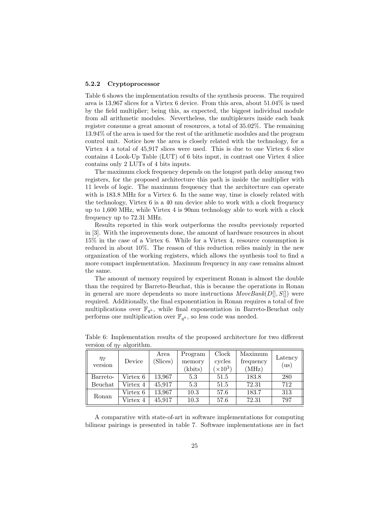#### 5.2.2 Cryptoprocessor

Table 6 shows the implementation results of the synthesis process. The required area is 13,967 slices for a Virtex 6 device. From this area, about 51.04% is used by the field multiplier; being this, as expected, the biggest individual module from all arithmetic modules. Nevertheless, the multiplexers inside each bank register consume a great amount of resources, a total of 35.02%. The remaining 13.94% of the area is used for the rest of the arithmetic modules and the program control unit. Notice how the area is closely related with the technology, for a Virtex 4 a total of 45,917 slices were used. This is due to one Virtex 6 slice contains 4 Look-Up Table (LUT) of 6 bits input, in contrast one Virtex 4 slice contains only 2 LUTs of 4 bits inputs.

The maximum clock frequency depends on the longest path delay among two registers, for the proposed architecture this path is inside the multiplier with 11 levels of logic. The maximum frequency that the architecture can operate with is 183.8 MHz for a Virtex 6. In the same way, time is closely related with the technology, Virtex 6 is a 40 nm device able to work with a clock frequency up to 1,600 MHz, while Virtex 4 is 90nm technology able to work with a clock frequency up to 72.31 MHz.

Results reported in this work outperforms the results previously reported in [3]. With the improvements done, the amount of hardware resources in about 15% in the case of a Virtex 6. While for a Virtex 4, resource consumption is reduced in about 10%. The reason of this reduction relies mainly in the new organization of the working registers, which allows the synthesis tool to find a more compact implementation. Maximum frequency in any case remains almost the same.

The amount of memory required by experiment Ronan is almost the double than the required by Barreto-Beuchat, this is because the operations in Ronan in general are more dependents so more instructions  $MoveBank(D[], S[])$  were required. Additionally, the final exponentiation in Ronan requires a total of five multiplications over  $\mathbb{F}_{q^k}$ , while final exponentiation in Barreto-Beuchat only performs one multiplication over  $\mathbb{F}_{q^k}$ , so less code was needed.

| $\eta_T$<br>version | Device   | Area<br>Slices) | Program<br>memory<br>(kbits) | Clock<br>cycles<br>$(x10^3)$ | Maximum<br>frequency<br>(MHz) | Latency<br>(us) |
|---------------------|----------|-----------------|------------------------------|------------------------------|-------------------------------|-----------------|
| Barreto-            | Virtex 6 | 13.967          | 5.3                          | 51.5                         | 183.8                         | 280             |
| Beuchat             | Virtex 4 | 45,917          | 5.3                          | 51.5                         | 72.31                         | 712             |
|                     | Virtex 6 | 13,967          | 10.3                         | 57.6                         | 183.7                         | 313             |
| Ronan               | Virtex 4 | 45.917          | 10.3                         | 57.6                         | 72.31                         | 797             |

Table 6: Implementation results of the proposed architecture for two different version of  $\eta_T$  algorithm.

A comparative with state-of-art in software implementations for computing bilinear pairings is presented in table 7. Software implementations are in fact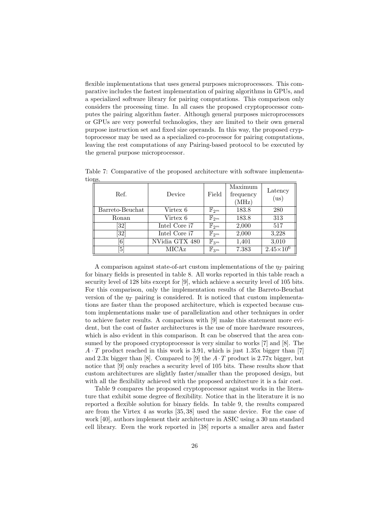flexible implementations that uses general purposes microprocessors. This comparative includes the fastest implementation of pairing algorithms in GPUs, and a specialized software library for pairing computations. This comparison only considers the processing time. In all cases the proposed cryptoprocessor computes the pairing algorithm faster. Although general purposes microprocessors or GPUs are very powerful technologies, they are limited to their own general purpose instruction set and fixed size operands. In this way, the proposed cryptoprocessor may be used as a specialized co-processor for pairing computations, leaving the rest computations of any Pairing-based protocol to be executed by the general purpose microprocessor.

| Ref.              | Device                    | Field              | Maximum<br>frequency<br>(MHz) | Latency<br>(us)      |
|-------------------|---------------------------|--------------------|-------------------------------|----------------------|
| Barreto-Beuchat   | $\mathbb{F}_{2^m}$        | 183.8              | 280                           |                      |
| Ronan             | Virtex 6                  | $\mathbb{F}_{2^m}$ | 183.8                         | 313                  |
| [32]              | Intel Core i <sub>7</sub> | $\mathbb{F}_{2^m}$ | 2,000                         | 517                  |
| 32                | Intel Core i <sub>7</sub> | $\mathbb{F}_{2^m}$ | 2,000                         | 3,228                |
| $\lceil 6 \rceil$ | NVidia GTX 480            | $\mathbb{F}_{3^m}$ | 1,401                         | 3,010                |
| $\lceil 5 \rceil$ | MICAz                     | $\mathbb{F}_{3^m}$ | 7.383                         | $2.45 \times 10^{6}$ |

Table 7: Comparative of the proposed architecture with software implementations.

A comparison against state-of-art custom implementations of the  $\eta_T$  pairing for binary fields is presented in table 8. All works reported in this table reach a security level of 128 bits except for [9], which achieve a security level of 105 bits. For this comparison, only the implementation results of the Barreto-Beuchat version of the  $\eta_T$  pairing is considered. It is noticed that custom implementations are faster than the proposed architecture, which is expected because custom implementations make use of parallelization and other techniques in order to achieve faster results. A comparison with [9] make this statement more evident, but the cost of faster architectures is the use of more hardware resources, which is also evident in this comparison. It can be observed that the area consumed by the proposed cryptoprocessor is very similar to works [7] and [8]. The  $A \cdot T$  product reached in this work is 3.91, which is just 1.35x bigger than [7] and 2.3x bigger than [8]. Compared to [9] the  $A \cdot T$  product is 2.77x bigger, but notice that [9] only reaches a security level of 105 bits. These results show that custom architectures are slightly faster/smaller than the proposed design, but with all the flexibility achieved with the proposed architecture it is a fair cost.

Table 9 compares the proposed cryptoprocessor against works in the literature that exhibit some degree of flexibility. Notice that in the literature it is no reported a flexible solution for binary fields. In table 9, the results compared are from the Virtex 4 as works [35, 38] used the same device. For the case of work [40], authors implement their architecture in ASIC using a 30 nm standard cell library. Even the work reported in [38] reports a smaller area and faster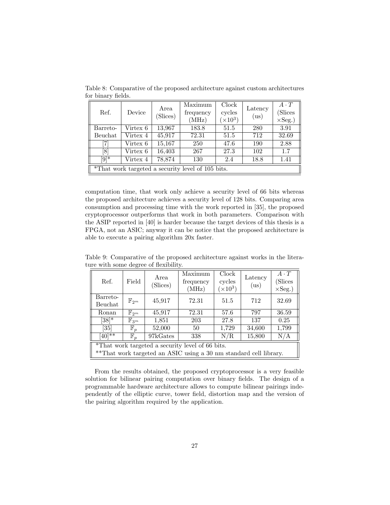| Ref.               | Device   | Area<br>(Slices) | Maximum<br>frequency<br>(MHz)                     | Clock<br>cycles<br>$(\times 10^3)$ | Latency<br>(us) | $A \cdot T$<br>(Slices)<br>$\times$ Seg.) |
|--------------------|----------|------------------|---------------------------------------------------|------------------------------------|-----------------|-------------------------------------------|
| Barreto-           | Virtex 6 | 13,967           | 183.8                                             | 51.5                               | 280             | 3.91                                      |
| Beuchat            | Virtex 4 | 45,917           | 72.31                                             | 51.5                               | 712             | 32.69                                     |
| 71                 | Virtex 6 | 15,167           | 250                                               | 47.6                               | 190             | 2.88                                      |
| [8]                | Virtex 6 | 16,403           | 267                                               | 27.3                               | 102             | 1.7                                       |
| $\overline{[9]^*}$ | Virtex 4 | 78,874           | 130                                               | 2.4                                | 18.8            | 1.41                                      |
|                    |          |                  | *That work targeted a security level of 105 bits. |                                    |                 |                                           |

Table 8: Comparative of the proposed architecture against custom architectures for binary fields.

computation time, that work only achieve a security level of 66 bits whereas the proposed architecture achieves a security level of 128 bits. Comparing area consumption and processing time with the work reported in [35], the proposed cryptoprocessor outperforms that work in both parameters. Comparison with the ASIP reported in [40] is harder because the target devices of this thesis is a FPGA, not an ASIC; anyway it can be notice that the proposed architecture is able to execute a pairing algorithm 20x faster.

Table 9: Comparative of the proposed architecture against works in the literature with some degree of flexibility.

| Ref.                                             | Field              | Area<br>(Slices) | Maximum<br>frequency<br>(MHz)                                     | Clock<br>cycles<br>$(\times 10^3)$ | Latency<br>(us) | $A \cdot T$<br>(Slices<br>$\times$ Seg.) |  |
|--------------------------------------------------|--------------------|------------------|-------------------------------------------------------------------|------------------------------------|-----------------|------------------------------------------|--|
| Barreto-                                         | $\mathbb{F}_{2^m}$ | 45,917           | 72.31                                                             | 51.5                               | 712             | 32.69                                    |  |
| Beuchat                                          |                    |                  |                                                                   |                                    |                 |                                          |  |
| Ronan                                            | $\mathbb{F}_{2^m}$ | 45,917           | 72.31                                                             | 57.6                               | 797             | 36.59                                    |  |
| $[38]^{*}$                                       | $\mathbb{F}_{3^m}$ | 1,851            | 203                                                               | 27.8                               | 137             | 0.25                                     |  |
| [35]                                             | $\mathbb{F}_p$     | 52,000           | 50                                                                | 1,729                              | 34,600          | 1,799                                    |  |
| $[40]$ **                                        | $\mathbb{F}_p$     | 97kGates         | 338                                                               | N/R                                | 15,800          | N/A                                      |  |
| *That work targeted a security level of 66 bits. |                    |                  |                                                                   |                                    |                 |                                          |  |
|                                                  |                    |                  | **That work targeted an ASIC using a 30 nm standard cell library. |                                    |                 |                                          |  |

From the results obtained, the proposed cryptoprocessor is a very feasible solution for bilinear pairing computation over binary fields. The design of a programmable hardware architecture allows to compute bilinear pairings independently of the elliptic curve, tower field, distortion map and the version of the pairing algorithm required by the application.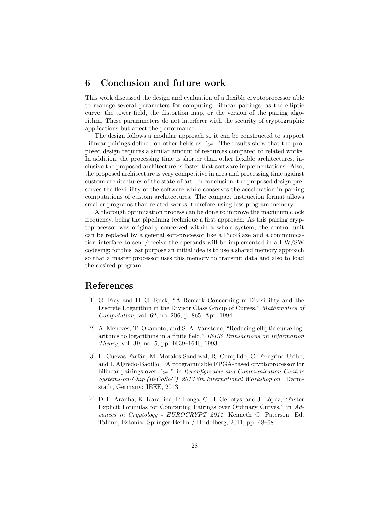# 6 Conclusion and future work

This work discussed the design and evaluation of a flexible cryptoprocessor able to manage several parameters for computing bilinear pairings, as the elliptic curve, the tower field, the distortion map, or the version of the pairing algorithm. These parammeters do not interferer with the security of cryptographic applications but affect the performance.

The design follows a modular approach so it can be constructed to support bilinear pairings defined on other fields as  $\mathbb{F}_{3^m}$ . The results show that the proposed design requires a similar amount of resources compared to related works. In addition, the processing time is shorter than other flexible architectures, inclusive the proposed architecture is faster that software implementations. Also, the proposed architecture is very competitive in area and processing time against custom architectures of the state-of-art. In conclusion, the proposed design preserves the flexibility of the software while conserves the acceleration in pairing computations of custom architectures. The compact instruction format allows smaller programs than related works, therefore using less program memory.

A thorough optimization process can be done to improve the maximum clock frequency, being the pipelining technique a first approach. As this pairing cryptoprocessor was originally conceived within a whole system, the control unit can be replaced by a general soft-processor like a PicoBlaze and a communication interface to send/receive the operands will be implemented in a HW/SW codesing; for this last purpose an initial idea is to use a shared memory approach so that a master processor uses this memory to transmit data and also to load the desired program.

# References

- [1] G. Frey and H.-G. Ruck, "A Remark Concerning m-Divisibility and the Discrete Logarithm in the Divisor Class Group of Curves," Mathematics of Computation, vol. 62, no. 206, p. 865, Apr. 1994.
- [2] A. Menezes, T. Okamoto, and S. A. Vanstone, "Reducing elliptic curve logarithms to logarithms in a finite field," IEEE Transactions on Information Theory, vol. 39, no. 5, pp. 1639–1646, 1993.
- [3] E. Cuevas-Farfán, M. Morales-Sandoval, R. Cumplido, C. Feregrino-Uribe, and I. Algredo-Badillo, "A programmable FPGA-based cryptoprocessor for bilinear pairings over  $\mathbb{F}_{2^m}$ ." in *Reconfigurable and Communication-Centric* Systems-on-Chip (ReCoSoC), 2013 8th International Workshop on. Darmstadt, Germany: IEEE, 2013.
- [4] D. F. Aranha, K. Karabina, P. Longa, C. H. Gebotys, and J. López, "Faster Explicit Formulas for Computing Pairings over Ordinary Curves," in Advances in Cryptology - EUROCRYPT 2011, Kenneth G. Paterson, Ed. Tallinn, Estonia: Springer Berlin / Heidelberg, 2011, pp. 48–68.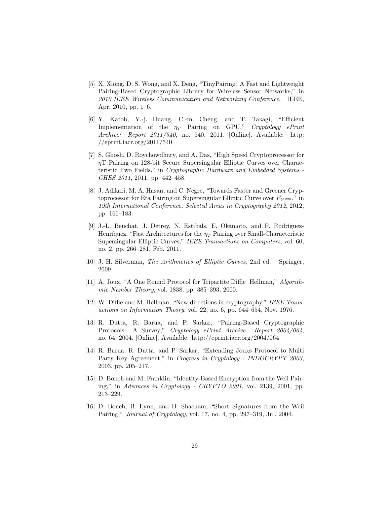- [5] X. Xiong, D. S. Wong, and X. Deng, "TinyPairing: A Fast and Lightweight Pairing-Based Cryptographic Library for Wireless Sensor Networks," in 2010 IEEE Wireless Communication and Networking Conference. IEEE, Apr. 2010, pp. 1–6.
- [6] Y. Katoh, Y.-j. Huang, C.-m. Cheng, and T. Takagi, "Efficient Implementation of the  $\eta_T$  Pairing on GPU," Cryptology ePrint Archive: Report 2011/540, no. 540, 2011. [Online]. Available: http: //eprint.iacr.org/2011/540
- [7] S. Ghosh, D. Roychowdhury, and A. Das, "High Speed Cryptoprocessor for ηT Pairing on 128-bit Secure Supersingular Elliptic Curves over Characteristic Two Fields," in Cryptographic Hardware and Embedded Systems - CHES 2011, 2011, pp. 442–458.
- [8] J. Adikari, M. A. Hasan, and C. Negre, "Towards Faster and Greener Cryptoprocessor for Eta Pairing on Supersingular Elliptic Curve over  $F_{2^{1223}}$ ," in 19th International Conference, Selected Areas in Cryptography 2012, 2012, pp. 166–183.
- [9] J.-L. Beuchat, J. Detrey, N. Estibals, E. Okamoto, and F. Rodríguez-Henríquez, "Fast Architectures for the  $\eta_T$  Pairing over Small-Characteristic Supersingular Elliptic Curves," IEEE Transactions on Computers, vol. 60, no. 2, pp. 266–281, Feb. 2011.
- [10] J. H. Silverman, The Arithmetics of Elliptic Curves, 2nd ed. Springer, 2009.
- [11] A. Joux, "A One Round Protocol for Tripartite Diffie Hellman," Algorithmic Number Theory, vol. 1838, pp. 385–393, 2000.
- [12] W. Diffie and M. Hellman, "New directions in cryptography," IEEE Transactions on Information Theory, vol. 22, no. 6, pp. 644–654, Nov. 1976.
- [13] R. Dutta, R. Barua, and P. Sarkar, "Pairing-Based Cryptographic Protocols: A Survey," Cryptology ePrint Archive: Report 2004/064, no. 64, 2004. [Online]. Available: http://eprint.iacr.org/2004/064
- [14] R. Barua, R. Dutta, and P. Sarkar, "Extending Jouxs Protocol to Multi Party Key Agreement," in *Progress in Cryptology - INDOCRYPT 2003*, 2003, pp. 205–217.
- [15] D. Boneh and M. Franklin, "Identity-Based Encryption from the Weil Pairing," in Advances in Cryptology - CRYPTO 2001, vol. 2139, 2001, pp. 213–229.
- [16] D. Boneh, B. Lynn, and H. Shacham, "Short Signatures from the Weil Pairing," Journal of Cryptology, vol. 17, no. 4, pp. 297–319, Jul. 2004.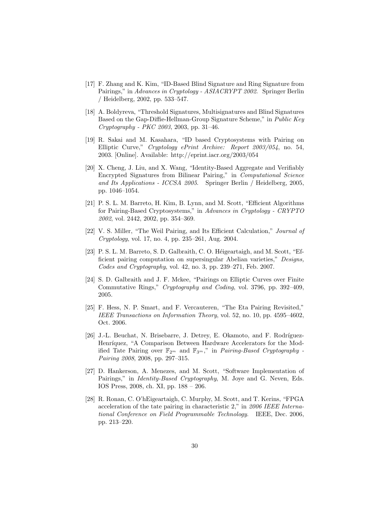- [17] F. Zhang and K. Kim, "ID-Based Blind Signature and Ring Signature from Pairings," in Advances in Cryptology - ASIACRYPT 2002. Springer Berlin / Heidelberg, 2002, pp. 533–547.
- [18] A. Boldyreva, "Threshold Signatures, Multisignatures and Blind Signatures Based on the Gap-Diffie-Hellman-Group Signature Scheme," in Public Key Cryptography - PKC 2003, 2003, pp. 31–46.
- [19] R. Sakai and M. Kasahara, "ID based Cryptosystems with Pairing on Elliptic Curve," Cryptology ePrint Archive: Report 2003/054, no. 54, 2003. [Online]. Available: http://eprint.iacr.org/2003/054
- [20] X. Cheng, J. Liu, and X. Wang, "Identity-Based Aggregate and Verifiably Encrypted Signatures from Bilinear Pairing," in Computational Science and Its Applications - ICCSA 2005. Springer Berlin / Heidelberg, 2005, pp. 1046–1054.
- [21] P. S. L. M. Barreto, H. Kim, B. Lynn, and M. Scott, "Efficient Algorithms for Pairing-Based Cryptosystems," in Advances in Cryptology - CRYPTO 2002, vol. 2442, 2002, pp. 354–369.
- [22] V. S. Miller, "The Weil Pairing, and Its Efficient Calculation," Journal of Cryptology, vol. 17, no. 4, pp. 235–261, Aug. 2004.
- [23] P. S. L. M. Barreto, S. D. Galbraith, C. O. Héigeartaigh, and M. Scott, "Efficient pairing computation on supersingular Abelian varieties," Designs, Codes and Cryptography, vol. 42, no. 3, pp. 239–271, Feb. 2007.
- [24] S. D. Galbraith and J. F. Mckee, "Pairings on Elliptic Curves over Finite Commutative Rings," Cryptography and Coding, vol. 3796, pp. 392–409, 2005.
- [25] F. Hess, N. P. Smart, and F. Vercauteren, "The Eta Pairing Revisited," IEEE Transactions on Information Theory, vol. 52, no. 10, pp. 4595–4602, Oct. 2006.
- [26] J.-L. Beuchat, N. Brisebarre, J. Detrey, E. Okamoto, and F. Rodríguez-Henríquez, "A Comparison Between Hardware Accelerators for the Modified Tate Pairing over  $\mathbb{F}_{2^m}$  and  $\mathbb{F}_{3^m}$ ," in *Pairing-Based Cryptography* -Pairing 2008, 2008, pp. 297–315.
- [27] D. Hankerson, A. Menezes, and M. Scott, "Software Implementation of Pairings," in *Identity-Based Cryptography*, M. Joye and G. Neven, Eds. IOS Press, 2008, ch. XI, pp. 188 – 206.
- [28] R. Ronan, C. O'hEigeartaigh, C. Murphy, M. Scott, and T. Kerins, "FPGA acceleration of the tate pairing in characteristic 2," in 2006 IEEE International Conference on Field Programmable Technology. IEEE, Dec. 2006, pp. 213–220.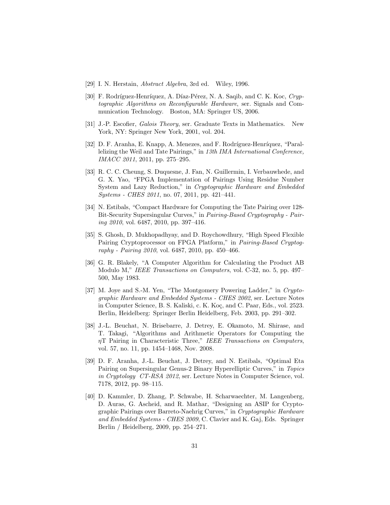- [29] I. N. Herstain, Abstract Algebra, 3rd ed. Wiley, 1996.
- [30] F. Rodríguez-Henríquez, A. Díaz-Pérez, N. A. Saqib, and C. K. Koc, Cryptographic Algorithms on Reconfigurable Hardware, ser. Signals and Communication Technology. Boston, MA: Springer US, 2006.
- [31] J.-P. Escofier, Galois Theory, ser. Graduate Texts in Mathematics. New York, NY: Springer New York, 2001, vol. 204.
- [32] D. F. Aranha, E. Knapp, A. Menezes, and F. Rodríguez-Henríquez, "Parallelizing the Weil and Tate Pairings," in 13th IMA International Conference, IMACC 2011, 2011, pp. 275–295.
- [33] R. C. C. Cheung, S. Duquesne, J. Fan, N. Guillermin, I. Verbauwhede, and G. X. Yao, "FPGA Implementation of Pairings Using Residue Number System and Lazy Reduction," in Cryptographic Hardware and Embedded Systems - CHES 2011, no. 07, 2011, pp. 421–441.
- [34] N. Estibals, "Compact Hardware for Computing the Tate Pairing over 128- Bit-Security Supersingular Curves," in Pairing-Based Cryptography - Pairing 2010, vol. 6487, 2010, pp. 397–416.
- [35] S. Ghosh, D. Mukhopadhyay, and D. Roychowdhury, "High Speed Flexible Pairing Cryptoprocessor on FPGA Platform," in Pairing-Based Cryptography - Pairing 2010, vol. 6487, 2010, pp. 450–466.
- [36] G. R. Blakely, "A Computer Algorithm for Calculating the Product AB Modulo M," IEEE Transactions on Computers, vol. C-32, no. 5, pp. 497– 500, May 1983.
- [37] M. Joye and S.-M. Yen, "The Montgomery Powering Ladder," in Cryptographic Hardware and Embedded Systems - CHES 2002, ser. Lecture Notes in Computer Science, B. S. Kaliski, c. K. Koç, and C. Paar, Eds., vol. 2523. Berlin, Heidelberg: Springer Berlin Heidelberg, Feb. 2003, pp. 291–302.
- [38] J.-L. Beuchat, N. Brisebarre, J. Detrey, E. Okamoto, M. Shirase, and T. Takagi, "Algorithms and Arithmetic Operators for Computing the  $nT$  Pairing in Characteristic Three," IEEE Transactions on Computers, vol. 57, no. 11, pp. 1454–1468, Nov. 2008.
- [39] D. F. Aranha, J.-L. Beuchat, J. Detrey, and N. Estibals, "Optimal Eta Pairing on Supersingular Genus-2 Binary Hyperelliptic Curves," in Topics in Cryptology CT-RSA 2012, ser. Lecture Notes in Computer Science, vol. 7178, 2012, pp. 98–115.
- [40] D. Kammler, D. Zhang, P. Schwabe, H. Scharwaechter, M. Langenberg, D. Auras, G. Ascheid, and R. Mathar, "Designing an ASIP for Cryptographic Pairings over Barreto-Naehrig Curves," in Cryptographic Hardware and Embedded Systems - CHES 2009, C. Clavier and K. Gaj, Eds. Springer Berlin / Heidelberg, 2009, pp. 254–271.